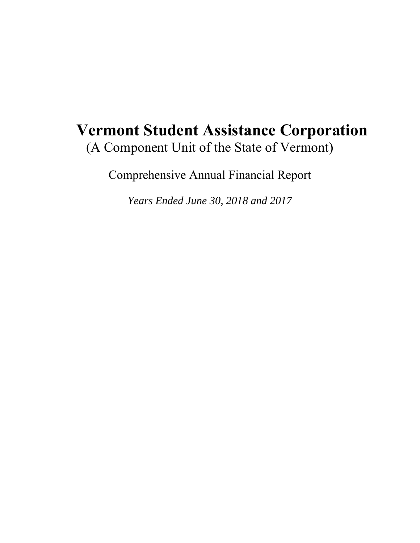# **Vermont Student Assistance Corporation**  (A Component Unit of the State of Vermont)

Comprehensive Annual Financial Report

*Years Ended June 30, 2018 and 2017*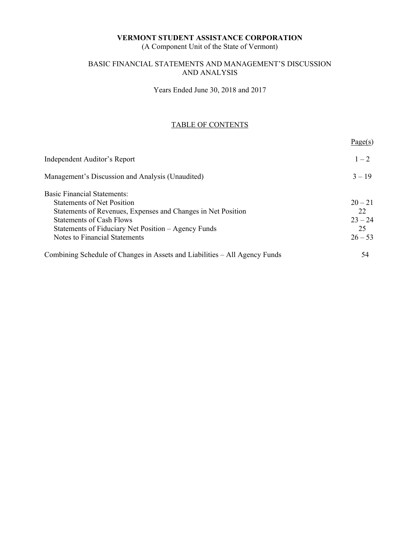(A Component Unit of the State of Vermont)

### BASIC FINANCIAL STATEMENTS AND MANAGEMENT'S DISCUSSION AND ANALYSIS

Years Ended June 30, 2018 and 2017

## TABLE OF CONTENTS

|                                                                            | Page(s)   |
|----------------------------------------------------------------------------|-----------|
| Independent Auditor's Report                                               | $1 - 2$   |
| Management's Discussion and Analysis (Unaudited)                           | $3 - 19$  |
| <b>Basic Financial Statements:</b>                                         |           |
| <b>Statements of Net Position</b>                                          | $20 - 21$ |
| Statements of Revenues, Expenses and Changes in Net Position               | 22        |
| <b>Statements of Cash Flows</b>                                            | $23 - 24$ |
| Statements of Fiduciary Net Position – Agency Funds                        | 25        |
| Notes to Financial Statements                                              | $26 - 53$ |
| Combining Schedule of Changes in Assets and Liabilities – All Agency Funds | 54        |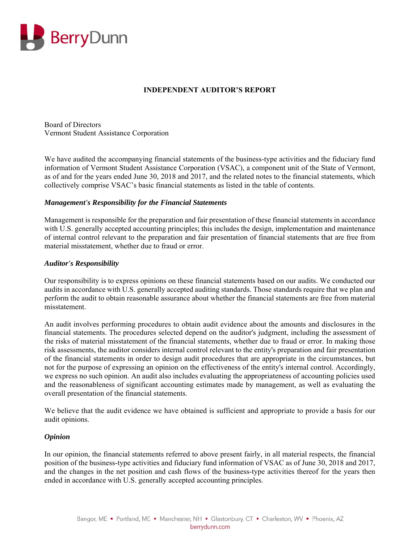

### **INDEPENDENT AUDITOR'S REPORT**

Board of Directors Vermont Student Assistance Corporation

We have audited the accompanying financial statements of the business-type activities and the fiduciary fund information of Vermont Student Assistance Corporation (VSAC), a component unit of the State of Vermont, as of and for the years ended June 30, 2018 and 2017, and the related notes to the financial statements, which collectively comprise VSAC's basic financial statements as listed in the table of contents.

#### *Management's Responsibility for the Financial Statements*

Management is responsible for the preparation and fair presentation of these financial statements in accordance with U.S. generally accepted accounting principles; this includes the design, implementation and maintenance of internal control relevant to the preparation and fair presentation of financial statements that are free from material misstatement, whether due to fraud or error.

#### *Auditor's Responsibility*

Our responsibility is to express opinions on these financial statements based on our audits. We conducted our audits in accordance with U.S. generally accepted auditing standards. Those standards require that we plan and perform the audit to obtain reasonable assurance about whether the financial statements are free from material misstatement.

An audit involves performing procedures to obtain audit evidence about the amounts and disclosures in the financial statements. The procedures selected depend on the auditor's judgment, including the assessment of the risks of material misstatement of the financial statements, whether due to fraud or error. In making those risk assessments, the auditor considers internal control relevant to the entity's preparation and fair presentation of the financial statements in order to design audit procedures that are appropriate in the circumstances, but not for the purpose of expressing an opinion on the effectiveness of the entity's internal control. Accordingly, we express no such opinion. An audit also includes evaluating the appropriateness of accounting policies used and the reasonableness of significant accounting estimates made by management, as well as evaluating the overall presentation of the financial statements.

We believe that the audit evidence we have obtained is sufficient and appropriate to provide a basis for our audit opinions.

#### *Opinion*

In our opinion, the financial statements referred to above present fairly, in all material respects, the financial position of the business-type activities and fiduciary fund information of VSAC as of June 30, 2018 and 2017, and the changes in the net position and cash flows of the business-type activities thereof for the years then ended in accordance with U.S. generally accepted accounting principles.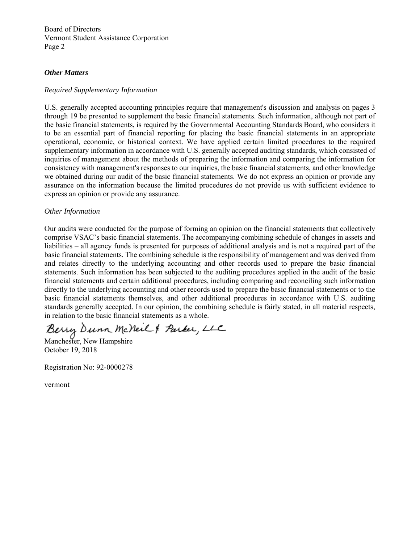Board of Directors Vermont Student Assistance Corporation Page 2

#### *Other Matters*

#### *Required Supplementary Information*

U.S. generally accepted accounting principles require that management's discussion and analysis on pages 3 through 19 be presented to supplement the basic financial statements. Such information, although not part of the basic financial statements, is required by the Governmental Accounting Standards Board, who considers it to be an essential part of financial reporting for placing the basic financial statements in an appropriate operational, economic, or historical context. We have applied certain limited procedures to the required supplementary information in accordance with U.S. generally accepted auditing standards, which consisted of inquiries of management about the methods of preparing the information and comparing the information for consistency with management's responses to our inquiries, the basic financial statements, and other knowledge we obtained during our audit of the basic financial statements. We do not express an opinion or provide any assurance on the information because the limited procedures do not provide us with sufficient evidence to express an opinion or provide any assurance.

#### *Other Information*

Our audits were conducted for the purpose of forming an opinion on the financial statements that collectively comprise VSAC's basic financial statements. The accompanying combining schedule of changes in assets and liabilities – all agency funds is presented for purposes of additional analysis and is not a required part of the basic financial statements. The combining schedule is the responsibility of management and was derived from and relates directly to the underlying accounting and other records used to prepare the basic financial statements. Such information has been subjected to the auditing procedures applied in the audit of the basic financial statements and certain additional procedures, including comparing and reconciling such information directly to the underlying accounting and other records used to prepare the basic financial statements or to the basic financial statements themselves, and other additional procedures in accordance with U.S. auditing standards generally accepted. In our opinion, the combining schedule is fairly stated, in all material respects, in relation to the basic financial statements as a whole.

Berry Dunn McNeil & Parker, LLC

October 19, 2018

Registration No: 92-0000278

vermont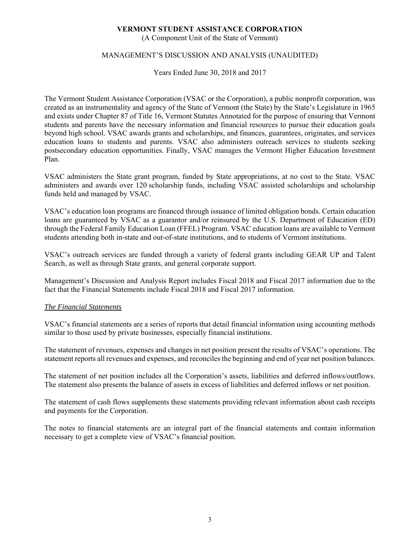(A Component Unit of the State of Vermont)

#### MANAGEMENT'S DISCUSSION AND ANALYSIS (UNAUDITED)

Years Ended June 30, 2018 and 2017

The Vermont Student Assistance Corporation (VSAC or the Corporation), a public nonprofit corporation, was created as an instrumentality and agency of the State of Vermont (the State) by the State's Legislature in 1965 and exists under Chapter 87 of Title 16, Vermont Statutes Annotated for the purpose of ensuring that Vermont students and parents have the necessary information and financial resources to pursue their education goals beyond high school. VSAC awards grants and scholarships, and finances, guarantees, originates, and services education loans to students and parents. VSAC also administers outreach services to students seeking postsecondary education opportunities. Finally, VSAC manages the Vermont Higher Education Investment Plan.

VSAC administers the State grant program, funded by State appropriations, at no cost to the State. VSAC administers and awards over 120 scholarship funds, including VSAC assisted scholarships and scholarship funds held and managed by VSAC.

VSAC's education loan programs are financed through issuance of limited obligation bonds. Certain education loans are guaranteed by VSAC as a guarantor and/or reinsured by the U.S. Department of Education (ED) through the Federal Family Education Loan (FFEL) Program. VSAC education loans are available to Vermont students attending both in-state and out-of-state institutions, and to students of Vermont institutions.

VSAC's outreach services are funded through a variety of federal grants including GEAR UP and Talent Search, as well as through State grants, and general corporate support.

Management's Discussion and Analysis Report includes Fiscal 2018 and Fiscal 2017 information due to the fact that the Financial Statements include Fiscal 2018 and Fiscal 2017 information.

#### *The Financial Statements*

VSAC's financial statements are a series of reports that detail financial information using accounting methods similar to those used by private businesses, especially financial institutions.

The statement of revenues, expenses and changes in net position present the results of VSAC's operations. The statement reports all revenues and expenses, and reconciles the beginning and end of year net position balances.

The statement of net position includes all the Corporation's assets, liabilities and deferred inflows/outflows. The statement also presents the balance of assets in excess of liabilities and deferred inflows or net position.

The statement of cash flows supplements these statements providing relevant information about cash receipts and payments for the Corporation.

The notes to financial statements are an integral part of the financial statements and contain information necessary to get a complete view of VSAC's financial position.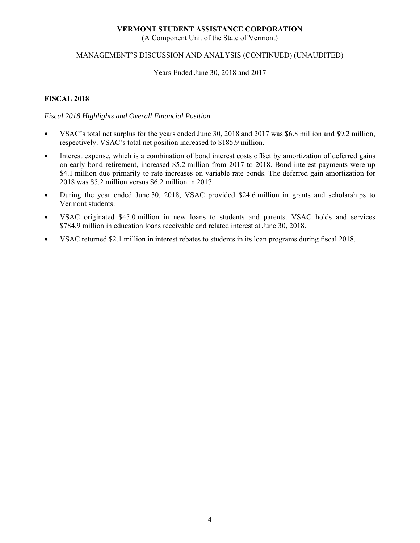(A Component Unit of the State of Vermont)

#### MANAGEMENT'S DISCUSSION AND ANALYSIS (CONTINUED) (UNAUDITED)

Years Ended June 30, 2018 and 2017

#### **FISCAL 2018**

#### *Fiscal 2018 Highlights and Overall Financial Position*

- VSAC's total net surplus for the years ended June 30, 2018 and 2017 was \$6.8 million and \$9.2 million, respectively. VSAC's total net position increased to \$185.9 million.
- Interest expense, which is a combination of bond interest costs offset by amortization of deferred gains on early bond retirement, increased \$5.2 million from 2017 to 2018. Bond interest payments were up \$4.1 million due primarily to rate increases on variable rate bonds. The deferred gain amortization for 2018 was \$5.2 million versus \$6.2 million in 2017.
- During the year ended June 30, 2018, VSAC provided \$24.6 million in grants and scholarships to Vermont students.
- VSAC originated \$45.0 million in new loans to students and parents. VSAC holds and services \$784.9 million in education loans receivable and related interest at June 30, 2018.
- VSAC returned \$2.1 million in interest rebates to students in its loan programs during fiscal 2018.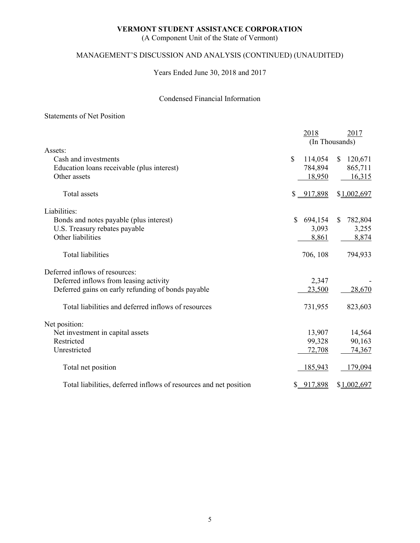(A Component Unit of the State of Vermont)

# MANAGEMENT'S DISCUSSION AND ANALYSIS (CONTINUED) (UNAUDITED)

Years Ended June 30, 2018 and 2017

### Condensed Financial Information

#### Statements of Net Position

|                                                                   | 2018           | 2017                     |
|-------------------------------------------------------------------|----------------|--------------------------|
|                                                                   |                | (In Thousands)           |
| Assets:                                                           |                |                          |
| Cash and investments                                              | \$<br>114,054  | 120,671<br><sup>S</sup>  |
| Education loans receivable (plus interest)                        | 784,894        | 865,711                  |
| Other assets                                                      | 18,950         | 16,315                   |
| Total assets                                                      | \$ 917,898     | \$1,002,697              |
| Liabilities:                                                      |                |                          |
| Bonds and notes payable (plus interest)                           | 694,154<br>\$  | 782,804<br><sup>\$</sup> |
| U.S. Treasury rebates payable                                     | 3,093          | 3,255                    |
| Other liabilities                                                 | 8,861          | 8,874                    |
| <b>Total liabilities</b>                                          | 706, 108       | 794,933                  |
| Deferred inflows of resources:                                    |                |                          |
| Deferred inflows from leasing activity                            | 2,347          |                          |
| Deferred gains on early refunding of bonds payable                | 23,500         | 28,670                   |
| Total liabilities and deferred inflows of resources               | 731,955        | 823,603                  |
| Net position:                                                     |                |                          |
| Net investment in capital assets                                  | 13,907         | 14,564                   |
| Restricted                                                        | 99,328         | 90,163                   |
| Unrestricted                                                      | 72,708         | 74,367                   |
| Total net position                                                | <u>185,943</u> | 179,094                  |
| Total liabilities, deferred inflows of resources and net position | \$917,898      | \$1,002,697              |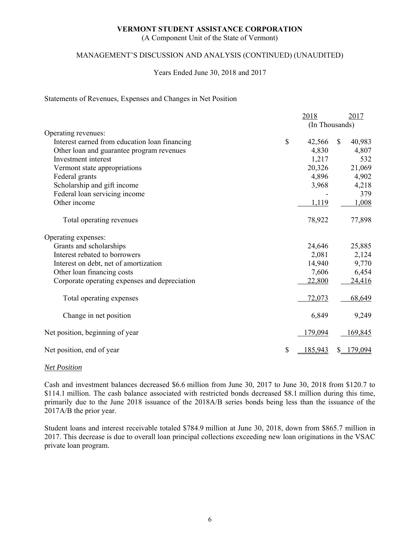(A Component Unit of the State of Vermont)

#### MANAGEMENT'S DISCUSSION AND ANALYSIS (CONTINUED) (UNAUDITED)

#### Years Ended June 30, 2018 and 2017

#### Statements of Revenues, Expenses and Changes in Net Position

|                                               | 2018                 | <u>2017</u>  |
|-----------------------------------------------|----------------------|--------------|
|                                               | (In Thousands)       |              |
| Operating revenues:                           |                      |              |
| Interest earned from education loan financing | \$<br>42,566         | \$<br>40,983 |
| Other loan and guarantee program revenues     | 4,830                | 4,807        |
| Investment interest                           | 1,217                | 532          |
| Vermont state appropriations                  | 20,326               | 21,069       |
| Federal grants                                | 4,896                | 4,902        |
| Scholarship and gift income                   | 3,968                | 4,218        |
| Federal loan servicing income                 |                      | 379          |
| Other income                                  | 1,119                | 1,008        |
|                                               |                      |              |
| Total operating revenues                      | 78,922               | 77,898       |
| Operating expenses:                           |                      |              |
| Grants and scholarships                       | 24,646               | 25,885       |
| Interest rebated to borrowers                 | 2,081                | 2,124        |
| Interest on debt, net of amortization         | 14,940               | 9,770        |
| Other loan financing costs                    | 7,606                | 6,454        |
| Corporate operating expenses and depreciation | 22,800               | 24,416       |
| Total operating expenses                      | 72,073               | 68,649       |
| Change in net position                        | 6,849                | 9,249        |
| Net position, beginning of year               | <u>179,094</u>       | 169,845      |
| Net position, end of year                     | \$<br><u>185,943</u> | 179,094      |

#### *Net Position*

Cash and investment balances decreased \$6.6 million from June 30, 2017 to June 30, 2018 from \$120.7 to \$114.1 million. The cash balance associated with restricted bonds decreased \$8.1 million during this time, primarily due to the June 2018 issuance of the 2018A/B series bonds being less than the issuance of the 2017A/B the prior year.

Student loans and interest receivable totaled \$784.9 million at June 30, 2018, down from \$865.7 million in 2017. This decrease is due to overall loan principal collections exceeding new loan originations in the VSAC private loan program.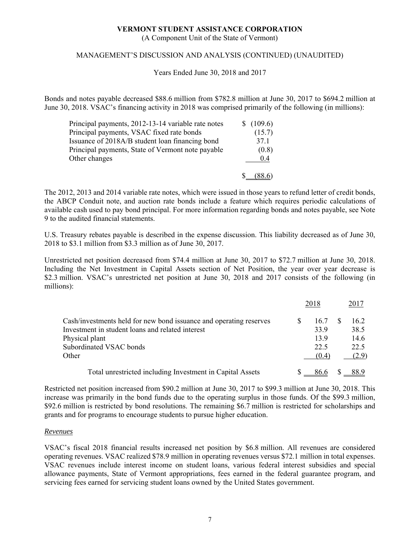(A Component Unit of the State of Vermont)

#### MANAGEMENT'S DISCUSSION AND ANALYSIS (CONTINUED) (UNAUDITED)

Years Ended June 30, 2018 and 2017

Bonds and notes payable decreased \$88.6 million from \$782.8 million at June 30, 2017 to \$694.2 million at June 30, 2018. VSAC's financing activity in 2018 was comprised primarily of the following (in millions):

| Principal payments, 2012-13-14 variable rate notes | \$(109.6) |
|----------------------------------------------------|-----------|
| Principal payments, VSAC fixed rate bonds          | (15.7)    |
| Issuance of 2018A/B student loan financing bond    | 37.1      |
| Principal payments, State of Vermont note payable  | (0.8)     |
| Other changes                                      | 0.4       |
|                                                    |           |

The 2012, 2013 and 2014 variable rate notes, which were issued in those years to refund letter of credit bonds, the ABCP Conduit note, and auction rate bonds include a feature which requires periodic calculations of available cash used to pay bond principal. For more information regarding bonds and notes payable, see Note 9 to the audited financial statements.

U.S. Treasury rebates payable is described in the expense discussion. This liability decreased as of June 30, 2018 to \$3.1 million from \$3.3 million as of June 30, 2017.

Unrestricted net position decreased from \$74.4 million at June 30, 2017 to \$72.7 million at June 30, 2018. Including the Net Investment in Capital Assets section of Net Position, the year over year decrease is \$2.3 million. VSAC's unrestricted net position at June 30, 2018 and 2017 consists of the following (in millions):

|                                                                    | 2018  | 2017  |
|--------------------------------------------------------------------|-------|-------|
| Cash/investments held for new bond issuance and operating reserves | 16.7  | 16.2  |
| Investment in student loans and related interest                   | 33.9  | 38.5  |
| Physical plant                                                     | 13.9  | 14.6  |
| Subordinated VSAC bonds                                            | 22.5  | 22.5  |
| Other                                                              | (0.4) | (2.9) |
| Total unrestricted including Investment in Capital Assets          | 86.6  | 88.9  |

Restricted net position increased from \$90.2 million at June 30, 2017 to \$99.3 million at June 30, 2018. This increase was primarily in the bond funds due to the operating surplus in those funds. Of the \$99.3 million, \$92.6 million is restricted by bond resolutions. The remaining \$6.7 million is restricted for scholarships and grants and for programs to encourage students to pursue higher education.

#### *Revenues*

VSAC's fiscal 2018 financial results increased net position by \$6.8 million. All revenues are considered operating revenues. VSAC realized \$78.9 million in operating revenues versus \$72.1 million in total expenses. VSAC revenues include interest income on student loans, various federal interest subsidies and special allowance payments, State of Vermont appropriations, fees earned in the federal guarantee program, and servicing fees earned for servicing student loans owned by the United States government.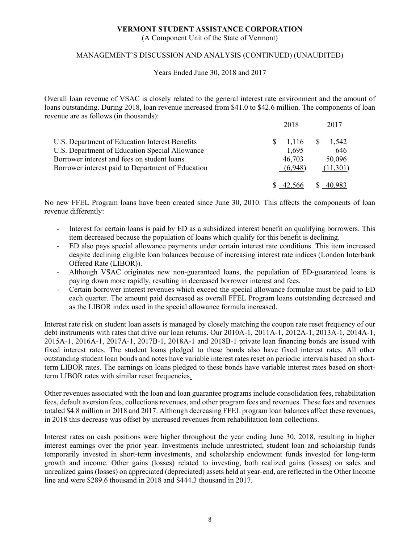(A Component Unit of the State of Vermont)

#### MANAGEMENT'S DISCUSSION AND ANALYSIS (CONTINUED) (UNAUDITED)

Years Ended June 30, 2018 and 2017

Overall loan revenue of VSAC is closely related to the general interest rate environment and the amount of loans outstanding. During 2018, loan revenue increased from \$41.0 to \$42.6 million. The components of loan revenue are as follows (in thousands):

|                                                   | 2018       | 2017         |
|---------------------------------------------------|------------|--------------|
| U.S. Department of Education Interest Benefits    | $1,116$ \$ | 1.542        |
| U.S. Department of Education Special Allowance    | 1,695      | 646          |
| Borrower interest and fees on student loans       | 46,703     | 50,096       |
| Borrower interest paid to Department of Education | (6.948)    | (11,301)     |
|                                                   |            |              |
|                                                   |            | <sup>8</sup> |

No new FFEL Program loans have been created since June 30, 2010. This affects the components of loan revenue differently:

- Interest for certain loans is paid by ED as a subsidized interest benefit on qualifying borrowers. This item decreased because the population of loans which qualify for this benefit is declining.
- ED also pays special allowance payments under certain interest rate conditions. This item increased despite declining eligible loan balances because of increasing interest rate indices (London Interbank Offered Rate (LIBOR)).
- Although VSAC originates new non-guaranteed loans, the population of ED-guaranteed loans is paying down more rapidly, resulting in decreased borrower interest and fees.
- Certain borrower interest revenues which exceed the special allowance formulae must be paid to ED each quarter. The amount paid decreased as overall FFEL Program loans outstanding decreased and as the LIBOR index used in the special allowance formula increased.

Interest rate risk on student loan assets is managed by closely matching the coupon rate reset frequency of our debt instruments with rates that drive our loan returns. Our 2010A-1, 2011A-1, 2012A-1, 2013A-1, 2014A-1, 2015A-1, 2016A-1, 2017A-1, 2017B-1, 2018A-1 and 2018B-1 private loan financing bonds are issued with fixed interest rates. The student loans pledged to these bonds also have fixed interest rates. All other outstanding student loan bonds and notes have variable interest rates reset on periodic intervals based on shortterm LIBOR rates. The earnings on loans pledged to these bonds have variable interest rates based on shortterm LIBOR rates with similar reset frequencies.

Other revenues associated with the loan and loan guarantee programs include consolidation fees, rehabilitation fees, default aversion fees, collections revenues, and other program fees and revenues. These fees and revenues totaled \$4.8 million in 2018 and 2017. Although decreasing FFEL program loan balances affect these revenues, in 2018 this decrease was offset by increased revenues from rehabilitation loan collections.

Interest rates on cash positions were higher throughout the year ending June 30, 2018, resulting in higher interest earnings over the prior year. Investments include unrestricted, student loan and scholarship funds temporarily invested in short-term investments, and scholarship endowment funds invested for long-term growth and income. Other gains (losses) related to investing, both realized gains (losses) on sales and unrealized gains (losses) on appreciated (depreciated) assets held at year-end, are reflected in the Other Income line and were \$289.6 thousand in 2018 and \$444.3 thousand in 2017.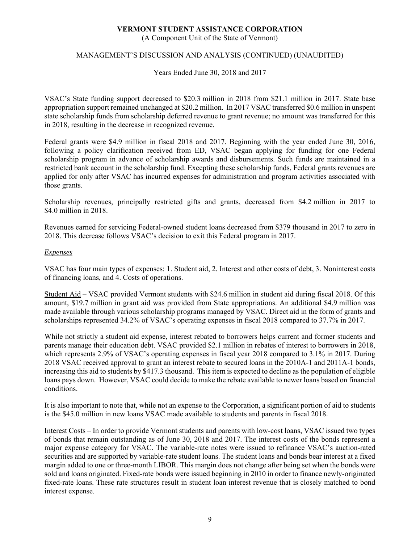(A Component Unit of the State of Vermont)

#### MANAGEMENT'S DISCUSSION AND ANALYSIS (CONTINUED) (UNAUDITED)

Years Ended June 30, 2018 and 2017

VSAC's State funding support decreased to \$20.3 million in 2018 from \$21.1 million in 2017. State base appropriation support remained unchanged at \$20.2 million. In 2017 VSAC transferred \$0.6 million in unspent state scholarship funds from scholarship deferred revenue to grant revenue; no amount was transferred for this in 2018, resulting in the decrease in recognized revenue.

Federal grants were \$4.9 million in fiscal 2018 and 2017. Beginning with the year ended June 30, 2016, following a policy clarification received from ED, VSAC began applying for funding for one Federal scholarship program in advance of scholarship awards and disbursements. Such funds are maintained in a restricted bank account in the scholarship fund. Excepting these scholarship funds, Federal grants revenues are applied for only after VSAC has incurred expenses for administration and program activities associated with those grants.

Scholarship revenues, principally restricted gifts and grants, decreased from \$4.2 million in 2017 to \$4.0 million in 2018.

Revenues earned for servicing Federal-owned student loans decreased from \$379 thousand in 2017 to zero in 2018. This decrease follows VSAC's decision to exit this Federal program in 2017.

#### *Expenses*

VSAC has four main types of expenses: 1. Student aid, 2. Interest and other costs of debt, 3. Noninterest costs of financing loans, and 4. Costs of operations.

Student Aid – VSAC provided Vermont students with \$24.6 million in student aid during fiscal 2018. Of this amount, \$19.7 million in grant aid was provided from State appropriations. An additional \$4.9 million was made available through various scholarship programs managed by VSAC. Direct aid in the form of grants and scholarships represented 34.2% of VSAC's operating expenses in fiscal 2018 compared to 37.7% in 2017.

While not strictly a student aid expense, interest rebated to borrowers helps current and former students and parents manage their education debt. VSAC provided \$2.1 million in rebates of interest to borrowers in 2018, which represents 2.9% of VSAC's operating expenses in fiscal year 2018 compared to 3.1% in 2017. During 2018 VSAC received approval to grant an interest rebate to secured loans in the 2010A-1 and 2011A-1 bonds, increasing this aid to students by \$417.3 thousand. This item is expected to decline as the population of eligible loans pays down. However, VSAC could decide to make the rebate available to newer loans based on financial conditions.

It is also important to note that, while not an expense to the Corporation, a significant portion of aid to students is the \$45.0 million in new loans VSAC made available to students and parents in fiscal 2018.

Interest Costs – In order to provide Vermont students and parents with low-cost loans, VSAC issued two types of bonds that remain outstanding as of June 30, 2018 and 2017. The interest costs of the bonds represent a major expense category for VSAC. The variable-rate notes were issued to refinance VSAC's auction-rated securities and are supported by variable-rate student loans. The student loans and bonds bear interest at a fixed margin added to one or three-month LIBOR. This margin does not change after being set when the bonds were sold and loans originated. Fixed-rate bonds were issued beginning in 2010 in order to finance newly-originated fixed-rate loans. These rate structures result in student loan interest revenue that is closely matched to bond interest expense.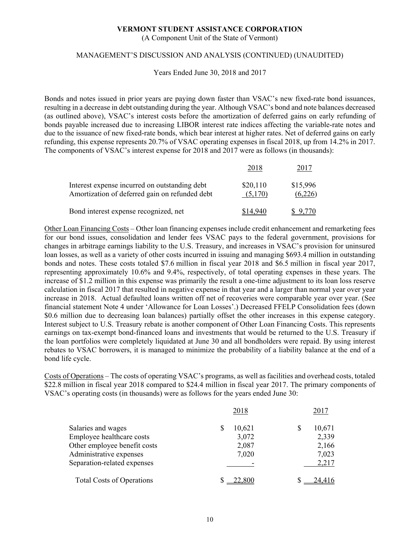(A Component Unit of the State of Vermont)

#### MANAGEMENT'S DISCUSSION AND ANALYSIS (CONTINUED) (UNAUDITED)

Years Ended June 30, 2018 and 2017

Bonds and notes issued in prior years are paying down faster than VSAC's new fixed-rate bond issuances, resulting in a decrease in debt outstanding during the year. Although VSAC's bond and note balances decreased (as outlined above), VSAC's interest costs before the amortization of deferred gains on early refunding of bonds payable increased due to increasing LIBOR interest rate indices affecting the variable-rate notes and due to the issuance of new fixed-rate bonds, which bear interest at higher rates. Net of deferred gains on early refunding, this expense represents 20.7% of VSAC operating expenses in fiscal 2018, up from 14.2% in 2017. The components of VSAC's interest expense for 2018 and 2017 were as follows (in thousands):

| Interest expense incurred on outstanding debt<br>Amortization of deferred gain on refunded debt | \$20,110<br>(5,170) | \$15,996<br>(6,226) |
|-------------------------------------------------------------------------------------------------|---------------------|---------------------|
| Bond interest expense recognized, net                                                           |                     |                     |

Other Loan Financing Costs – Other loan financing expenses include credit enhancement and remarketing fees for our bond issues, consolidation and lender fees VSAC pays to the federal government, provisions for changes in arbitrage earnings liability to the U.S. Treasury, and increases in VSAC's provision for uninsured loan losses, as well as a variety of other costs incurred in issuing and managing \$693.4 million in outstanding bonds and notes. These costs totaled \$7.6 million in fiscal year 2018 and \$6.5 million in fiscal year 2017, representing approximately 10.6% and 9.4%, respectively, of total operating expenses in these years. The increase of \$1.2 million in this expense was primarily the result a one-time adjustment to its loan loss reserve calculation in fiscal 2017 that resulted in negative expense in that year and a larger than normal year over year increase in 2018. Actual defaulted loans written off net of recoveries were comparable year over year. (See financial statement Note 4 under 'Allowance for Loan Losses'.) Decreased FFELP Consolidation fees (down \$0.6 million due to decreasing loan balances) partially offset the other increases in this expense category. Interest subject to U.S. Treasury rebate is another component of Other Loan Financing Costs. This represents earnings on tax-exempt bond-financed loans and investments that would be returned to the U.S. Treasury if the loan portfolios were completely liquidated at June 30 and all bondholders were repaid. By using interest rebates to VSAC borrowers, it is managed to minimize the probability of a liability balance at the end of a bond life cycle.

Costs of Operations – The costs of operating VSAC's programs, as well as facilities and overhead costs, totaled \$22.8 million in fiscal year 2018 compared to \$24.4 million in fiscal year 2017. The primary components of VSAC's operating costs (in thousands) were as follows for the years ended June 30:

|                                  | 2018   | 2017   |
|----------------------------------|--------|--------|
| Salaries and wages               | 10,621 | 10,671 |
| Employee healthcare costs        | 3,072  | 2,339  |
| Other employee benefit costs     | 2,087  | 2,166  |
| Administrative expenses          | 7,020  | 7,023  |
| Separation-related expenses      |        | 2,217  |
| <b>Total Costs of Operations</b> |        |        |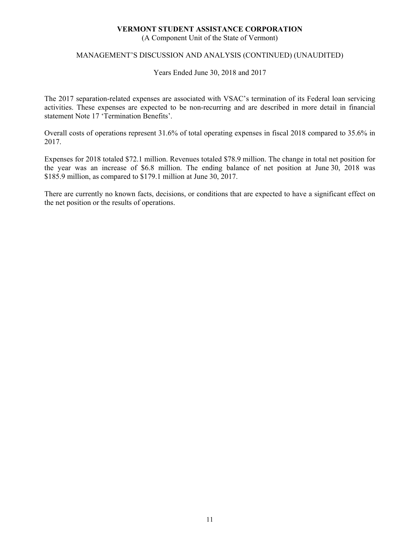(A Component Unit of the State of Vermont)

#### MANAGEMENT'S DISCUSSION AND ANALYSIS (CONTINUED) (UNAUDITED)

Years Ended June 30, 2018 and 2017

The 2017 separation-related expenses are associated with VSAC's termination of its Federal loan servicing activities. These expenses are expected to be non-recurring and are described in more detail in financial statement Note 17 'Termination Benefits'.

Overall costs of operations represent 31.6% of total operating expenses in fiscal 2018 compared to 35.6% in 2017.

Expenses for 2018 totaled \$72.1 million. Revenues totaled \$78.9 million. The change in total net position for the year was an increase of \$6.8 million. The ending balance of net position at June 30, 2018 was \$185.9 million, as compared to \$179.1 million at June 30, 2017.

There are currently no known facts, decisions, or conditions that are expected to have a significant effect on the net position or the results of operations.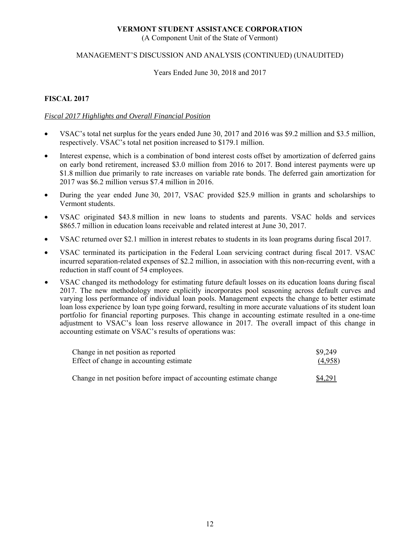(A Component Unit of the State of Vermont)

#### MANAGEMENT'S DISCUSSION AND ANALYSIS (CONTINUED) (UNAUDITED)

Years Ended June 30, 2018 and 2017

#### **FISCAL 2017**

#### *Fiscal 2017 Highlights and Overall Financial Position*

- VSAC's total net surplus for the years ended June 30, 2017 and 2016 was \$9.2 million and \$3.5 million, respectively. VSAC's total net position increased to \$179.1 million.
- Interest expense, which is a combination of bond interest costs offset by amortization of deferred gains on early bond retirement, increased \$3.0 million from 2016 to 2017. Bond interest payments were up \$1.8 million due primarily to rate increases on variable rate bonds. The deferred gain amortization for 2017 was \$6.2 million versus \$7.4 million in 2016.
- During the year ended June 30, 2017, VSAC provided \$25.9 million in grants and scholarships to Vermont students.
- VSAC originated \$43.8 million in new loans to students and parents. VSAC holds and services \$865.7 million in education loans receivable and related interest at June 30, 2017.
- VSAC returned over \$2.1 million in interest rebates to students in its loan programs during fiscal 2017.
- VSAC terminated its participation in the Federal Loan servicing contract during fiscal 2017. VSAC incurred separation-related expenses of \$2.2 million, in association with this non-recurring event, with a reduction in staff count of 54 employees.
- VSAC changed its methodology for estimating future default losses on its education loans during fiscal 2017. The new methodology more explicitly incorporates pool seasoning across default curves and varying loss performance of individual loan pools. Management expects the change to better estimate loan loss experience by loan type going forward, resulting in more accurate valuations of its student loan portfolio for financial reporting purposes. This change in accounting estimate resulted in a one-time adjustment to VSAC's loan loss reserve allowance in 2017. The overall impact of this change in accounting estimate on VSAC's results of operations was:

| Change in net position as reported                                 | \$9,249 |
|--------------------------------------------------------------------|---------|
| Effect of change in accounting estimate                            | (4,958) |
| Change in net position before impact of accounting estimate change | \$4,291 |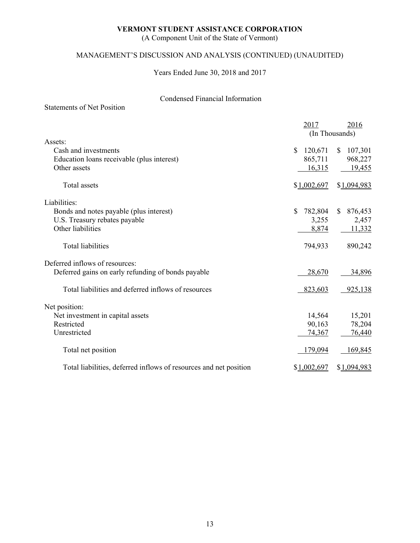(A Component Unit of the State of Vermont)

# MANAGEMENT'S DISCUSSION AND ANALYSIS (CONTINUED) (UNAUDITED)

Years Ended June 30, 2018 and 2017

# Condensed Financial Information

|                                                                   | 2017          | 2016                    |
|-------------------------------------------------------------------|---------------|-------------------------|
| Assets:                                                           |               | (In Thousands)          |
| Cash and investments                                              | 120,671<br>\$ | 107,301<br><sup>S</sup> |
| Education loans receivable (plus interest)                        | 865,711       | 968,227                 |
| Other assets                                                      | 16,315        | 19,455                  |
| Total assets                                                      | \$1,002,697   | \$1,094,983             |
| Liabilities:                                                      |               |                         |
| Bonds and notes payable (plus interest)                           | \$<br>782,804 | 876,453<br>S.           |
| U.S. Treasury rebates payable                                     | 3,255         | 2,457                   |
| Other liabilities                                                 | 8,874         | 11,332                  |
| <b>Total liabilities</b>                                          | 794,933       | 890,242                 |
| Deferred inflows of resources:                                    |               |                         |
| Deferred gains on early refunding of bonds payable                | 28,670        | 34,896                  |
| Total liabilities and deferred inflows of resources               | 823,603       | 925,138                 |
| Net position:                                                     |               |                         |
| Net investment in capital assets                                  | 14,564        | 15,201                  |
| Restricted                                                        | 90,163        | 78,204                  |
| Unrestricted                                                      | 74,367        | 76,440                  |
| Total net position                                                | 179,094       | 169,845                 |
| Total liabilities, deferred inflows of resources and net position | \$1,002,697   | \$1,094,983             |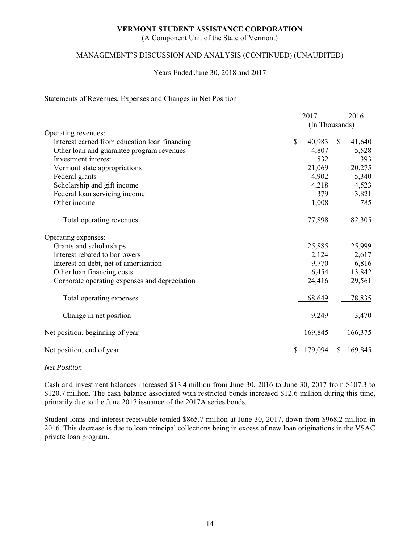(A Component Unit of the State of Vermont)

#### MANAGEMENT'S DISCUSSION AND ANALYSIS (CONTINUED) (UNAUDITED)

#### Years Ended June 30, 2018 and 2017

#### Statements of Revenues, Expenses and Changes in Net Position

|                                               | 2017           | 2016         |
|-----------------------------------------------|----------------|--------------|
|                                               | (In Thousands) |              |
| Operating revenues:                           |                |              |
| Interest earned from education loan financing | \$<br>40,983   | \$<br>41,640 |
| Other loan and guarantee program revenues     | 4,807          | 5,528        |
| Investment interest                           | 532            | 393          |
| Vermont state appropriations                  | 21,069         | 20,275       |
| Federal grants                                | 4,902          | 5,340        |
| Scholarship and gift income                   | 4,218          | 4,523        |
| Federal loan servicing income                 | 379            | 3,821        |
| Other income                                  | 1,008          | 785          |
| Total operating revenues                      | 77,898         | 82,305       |
| Operating expenses:                           |                |              |
| Grants and scholarships                       | 25,885         | 25,999       |
| Interest rebated to borrowers                 | 2,124          | 2,617        |
| Interest on debt, net of amortization         | 9,770          | 6,816        |
| Other loan financing costs                    | 6,454          | 13,842       |
| Corporate operating expenses and depreciation | 24,416         | 29,561       |
| Total operating expenses                      | 68,649         | 78,835       |
| Change in net position                        | 9,249          | 3,470        |
| Net position, beginning of year               | 169,845        | 166,375      |
| Net position, end of year                     | 179,094        | 169,845      |

#### *Net Position*

Cash and investment balances increased \$13.4 million from June 30, 2016 to June 30, 2017 from \$107.3 to \$120.7 million. The cash balance associated with restricted bonds increased \$12.6 million during this time, primarily due to the June 2017 issuance of the 2017A series bonds.

Student loans and interest receivable totaled \$865.7 million at June 30, 2017, down from \$968.2 million in 2016. This decrease is due to loan principal collections being in excess of new loan originations in the VSAC private loan program.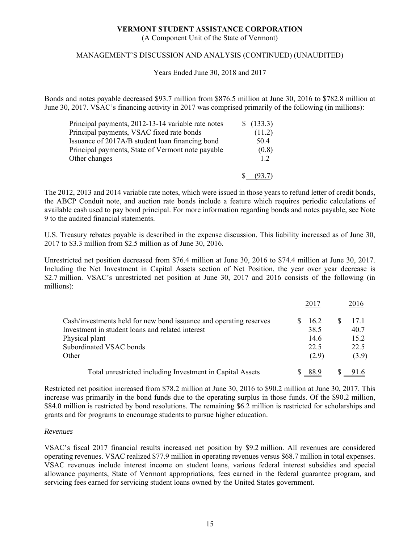(A Component Unit of the State of Vermont)

#### MANAGEMENT'S DISCUSSION AND ANALYSIS (CONTINUED) (UNAUDITED)

Years Ended June 30, 2018 and 2017

Bonds and notes payable decreased \$93.7 million from \$876.5 million at June 30, 2016 to \$782.8 million at June 30, 2017. VSAC's financing activity in 2017 was comprised primarily of the following (in millions):

| Principal payments, 2012-13-14 variable rate notes | \$(133.3) |
|----------------------------------------------------|-----------|
| Principal payments, VSAC fixed rate bonds          | (11.2)    |
| Issuance of 2017A/B student loan financing bond    | 50.4      |
| Principal payments, State of Vermont note payable  | (0.8)     |
| Other changes                                      | 1.2       |
|                                                    |           |

The 2012, 2013 and 2014 variable rate notes, which were issued in those years to refund letter of credit bonds, the ABCP Conduit note, and auction rate bonds include a feature which requires periodic calculations of available cash used to pay bond principal. For more information regarding bonds and notes payable, see Note 9 to the audited financial statements.

U.S. Treasury rebates payable is described in the expense discussion. This liability increased as of June 30, 2017 to \$3.3 million from \$2.5 million as of June 30, 2016.

Unrestricted net position decreased from \$76.4 million at June 30, 2016 to \$74.4 million at June 30, 2017. Including the Net Investment in Capital Assets section of Net Position, the year over year decrease is \$2.7 million. VSAC's unrestricted net position at June 30, 2017 and 2016 consists of the following (in millions):

|                                                                    | 2017  | 2016  |
|--------------------------------------------------------------------|-------|-------|
| Cash/investments held for new bond issuance and operating reserves | 16.2  | 17.1  |
| Investment in student loans and related interest                   | 38.5  | 40.7  |
| Physical plant                                                     | 14.6  | 15.2  |
| Subordinated VSAC bonds                                            | 22.5  | 22.5  |
| Other                                                              | (2.9) | (3.9) |
| Total unrestricted including Investment in Capital Assets          | -88.9 |       |

Restricted net position increased from \$78.2 million at June 30, 2016 to \$90.2 million at June 30, 2017. This increase was primarily in the bond funds due to the operating surplus in those funds. Of the \$90.2 million, \$84.0 million is restricted by bond resolutions. The remaining \$6.2 million is restricted for scholarships and grants and for programs to encourage students to pursue higher education.

#### *Revenues*

VSAC's fiscal 2017 financial results increased net position by \$9.2 million. All revenues are considered operating revenues. VSAC realized \$77.9 million in operating revenues versus \$68.7 million in total expenses. VSAC revenues include interest income on student loans, various federal interest subsidies and special allowance payments, State of Vermont appropriations, fees earned in the federal guarantee program, and servicing fees earned for servicing student loans owned by the United States government.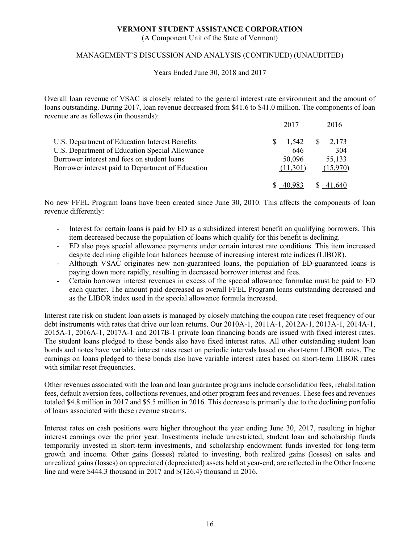(A Component Unit of the State of Vermont)

#### MANAGEMENT'S DISCUSSION AND ANALYSIS (CONTINUED) (UNAUDITED)

Years Ended June 30, 2018 and 2017

Overall loan revenue of VSAC is closely related to the general interest rate environment and the amount of loans outstanding. During 2017, loan revenue decreased from \$41.6 to \$41.0 million. The components of loan revenue are as follows (in thousands):

| U.S. Department of Education Interest Benefits    | 1.542    | $\frac{1}{2}$ , 173 |
|---------------------------------------------------|----------|---------------------|
| U.S. Department of Education Special Allowance    | 646      | 304                 |
| Borrower interest and fees on student loans       | 50,096   | 55,133              |
| Borrower interest paid to Department of Education | (11,301) | (15,970)            |
|                                                   |          | \$41,640            |

No new FFEL Program loans have been created since June 30, 2010. This affects the components of loan revenue differently:

- Interest for certain loans is paid by ED as a subsidized interest benefit on qualifying borrowers. This item decreased because the population of loans which qualify for this benefit is declining.
- ED also pays special allowance payments under certain interest rate conditions. This item increased despite declining eligible loan balances because of increasing interest rate indices (LIBOR).
- Although VSAC originates new non-guaranteed loans, the population of ED-guaranteed loans is paying down more rapidly, resulting in decreased borrower interest and fees.
- Certain borrower interest revenues in excess of the special allowance formulae must be paid to ED each quarter. The amount paid decreased as overall FFEL Program loans outstanding decreased and as the LIBOR index used in the special allowance formula increased.

Interest rate risk on student loan assets is managed by closely matching the coupon rate reset frequency of our debt instruments with rates that drive our loan returns. Our 2010A-1, 2011A-1, 2012A-1, 2013A-1, 2014A-1, 2015A-1, 2016A-1, 2017A-1 and 2017B-1 private loan financing bonds are issued with fixed interest rates. The student loans pledged to these bonds also have fixed interest rates. All other outstanding student loan bonds and notes have variable interest rates reset on periodic intervals based on short-term LIBOR rates. The earnings on loans pledged to these bonds also have variable interest rates based on short-term LIBOR rates with similar reset frequencies.

Other revenues associated with the loan and loan guarantee programs include consolidation fees, rehabilitation fees, default aversion fees, collections revenues, and other program fees and revenues. These fees and revenues totaled \$4.8 million in 2017 and \$5.5 million in 2016. This decrease is primarily due to the declining portfolio of loans associated with these revenue streams.

Interest rates on cash positions were higher throughout the year ending June 30, 2017, resulting in higher interest earnings over the prior year. Investments include unrestricted, student loan and scholarship funds temporarily invested in short-term investments, and scholarship endowment funds invested for long-term growth and income. Other gains (losses) related to investing, both realized gains (losses) on sales and unrealized gains (losses) on appreciated (depreciated) assets held at year-end, are reflected in the Other Income line and were \$444.3 thousand in 2017 and \$(126.4) thousand in 2016.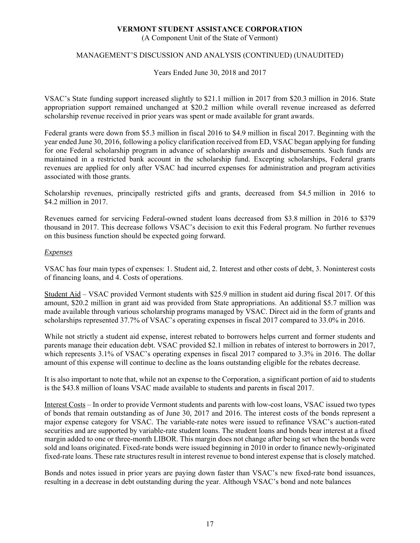(A Component Unit of the State of Vermont)

### MANAGEMENT'S DISCUSSION AND ANALYSIS (CONTINUED) (UNAUDITED)

Years Ended June 30, 2018 and 2017

VSAC's State funding support increased slightly to \$21.1 million in 2017 from \$20.3 million in 2016. State appropriation support remained unchanged at \$20.2 million while overall revenue increased as deferred scholarship revenue received in prior years was spent or made available for grant awards.

Federal grants were down from \$5.3 million in fiscal 2016 to \$4.9 million in fiscal 2017. Beginning with the year ended June 30, 2016, following a policy clarification received from ED, VSAC began applying for funding for one Federal scholarship program in advance of scholarship awards and disbursements. Such funds are maintained in a restricted bank account in the scholarship fund. Excepting scholarships, Federal grants revenues are applied for only after VSAC had incurred expenses for administration and program activities associated with those grants.

Scholarship revenues, principally restricted gifts and grants, decreased from \$4.5 million in 2016 to \$4.2 million in 2017.

Revenues earned for servicing Federal-owned student loans decreased from \$3.8 million in 2016 to \$379 thousand in 2017. This decrease follows VSAC's decision to exit this Federal program. No further revenues on this business function should be expected going forward.

#### *Expenses*

VSAC has four main types of expenses: 1. Student aid, 2. Interest and other costs of debt, 3. Noninterest costs of financing loans, and 4. Costs of operations.

Student Aid – VSAC provided Vermont students with \$25.9 million in student aid during fiscal 2017. Of this amount, \$20.2 million in grant aid was provided from State appropriations. An additional \$5.7 million was made available through various scholarship programs managed by VSAC. Direct aid in the form of grants and scholarships represented 37.7% of VSAC's operating expenses in fiscal 2017 compared to 33.0% in 2016.

While not strictly a student aid expense, interest rebated to borrowers helps current and former students and parents manage their education debt. VSAC provided \$2.1 million in rebates of interest to borrowers in 2017, which represents 3.1% of VSAC's operating expenses in fiscal 2017 compared to 3.3% in 2016. The dollar amount of this expense will continue to decline as the loans outstanding eligible for the rebates decrease.

It is also important to note that, while not an expense to the Corporation, a significant portion of aid to students is the \$43.8 million of loans VSAC made available to students and parents in fiscal 2017.

Interest Costs – In order to provide Vermont students and parents with low-cost loans, VSAC issued two types of bonds that remain outstanding as of June 30, 2017 and 2016. The interest costs of the bonds represent a major expense category for VSAC. The variable-rate notes were issued to refinance VSAC's auction-rated securities and are supported by variable-rate student loans. The student loans and bonds bear interest at a fixed margin added to one or three-month LIBOR. This margin does not change after being set when the bonds were sold and loans originated. Fixed-rate bonds were issued beginning in 2010 in order to finance newly-originated fixed-rate loans. These rate structures result in interest revenue to bond interest expense that is closely matched.

Bonds and notes issued in prior years are paying down faster than VSAC's new fixed-rate bond issuances, resulting in a decrease in debt outstanding during the year. Although VSAC's bond and note balances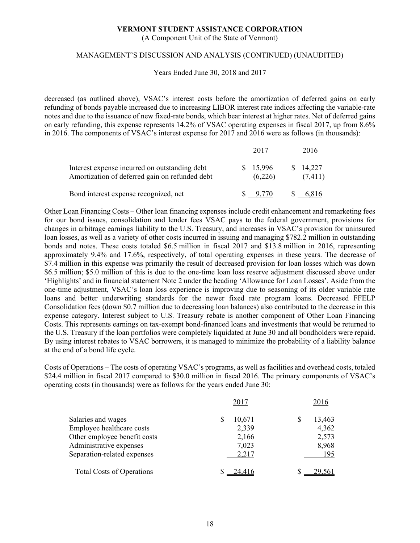(A Component Unit of the State of Vermont)

#### MANAGEMENT'S DISCUSSION AND ANALYSIS (CONTINUED) (UNAUDITED)

Years Ended June 30, 2018 and 2017

decreased (as outlined above), VSAC's interest costs before the amortization of deferred gains on early refunding of bonds payable increased due to increasing LIBOR interest rate indices affecting the variable-rate notes and due to the issuance of new fixed-rate bonds, which bear interest at higher rates. Net of deferred gains on early refunding, this expense represents 14.2% of VSAC operating expenses in fiscal 2017, up from 8.6% in 2016. The components of VSAC's interest expense for 2017 and 2016 were as follows (in thousands):

| Interest expense incurred on outstanding debt<br>Amortization of deferred gain on refunded debt | \$15,996<br>(6,226) | \$ 14,227 |
|-------------------------------------------------------------------------------------------------|---------------------|-----------|
| Bond interest expense recognized, net                                                           |                     |           |

Other Loan Financing Costs – Other loan financing expenses include credit enhancement and remarketing fees for our bond issues, consolidation and lender fees VSAC pays to the federal government, provisions for changes in arbitrage earnings liability to the U.S. Treasury, and increases in VSAC's provision for uninsured loan losses, as well as a variety of other costs incurred in issuing and managing \$782.2 million in outstanding bonds and notes. These costs totaled \$6.5 million in fiscal 2017 and \$13.8 million in 2016, representing approximately 9.4% and 17.6%, respectively, of total operating expenses in these years. The decrease of \$7.4 million in this expense was primarily the result of decreased provision for loan losses which was down \$6.5 million; \$5.0 million of this is due to the one-time loan loss reserve adjustment discussed above under 'Highlights' and in financial statement Note 2 under the heading 'Allowance for Loan Losses'. Aside from the one-time adjustment, VSAC's loan loss experience is improving due to seasoning of its older variable rate loans and better underwriting standards for the newer fixed rate program loans. Decreased FFELP Consolidation fees (down \$0.7 million due to decreasing loan balances) also contributed to the decrease in this expense category. Interest subject to U.S. Treasury rebate is another component of Other Loan Financing Costs. This represents earnings on tax-exempt bond-financed loans and investments that would be returned to the U.S. Treasury if the loan portfolios were completely liquidated at June 30 and all bondholders were repaid. By using interest rebates to VSAC borrowers, it is managed to minimize the probability of a liability balance at the end of a bond life cycle.

Costs of Operations – The costs of operating VSAC's programs, as well as facilities and overhead costs, totaled \$24.4 million in fiscal 2017 compared to \$30.0 million in fiscal 2016. The primary components of VSAC's operating costs (in thousands) were as follows for the years ended June 30:

|                                  | 2017   | 2016   |
|----------------------------------|--------|--------|
| Salaries and wages               | 10,671 | 13,463 |
| Employee healthcare costs        | 2,339  | 4,362  |
| Other employee benefit costs     | 2,166  | 2,573  |
| Administrative expenses          | 7,023  | 8,968  |
| Separation-related expenses      | 2,217  | 195    |
| <b>Total Costs of Operations</b> |        | 29.561 |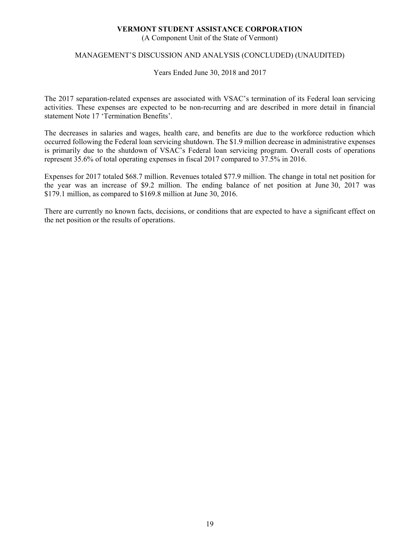(A Component Unit of the State of Vermont)

#### MANAGEMENT'S DISCUSSION AND ANALYSIS (CONCLUDED) (UNAUDITED)

Years Ended June 30, 2018 and 2017

The 2017 separation-related expenses are associated with VSAC's termination of its Federal loan servicing activities. These expenses are expected to be non-recurring and are described in more detail in financial statement Note 17 'Termination Benefits'.

The decreases in salaries and wages, health care, and benefits are due to the workforce reduction which occurred following the Federal loan servicing shutdown. The \$1.9 million decrease in administrative expenses is primarily due to the shutdown of VSAC's Federal loan servicing program. Overall costs of operations represent 35.6% of total operating expenses in fiscal 2017 compared to 37.5% in 2016.

Expenses for 2017 totaled \$68.7 million. Revenues totaled \$77.9 million. The change in total net position for the year was an increase of \$9.2 million. The ending balance of net position at June 30, 2017 was \$179.1 million, as compared to \$169.8 million at June 30, 2016.

There are currently no known facts, decisions, or conditions that are expected to have a significant effect on the net position or the results of operations.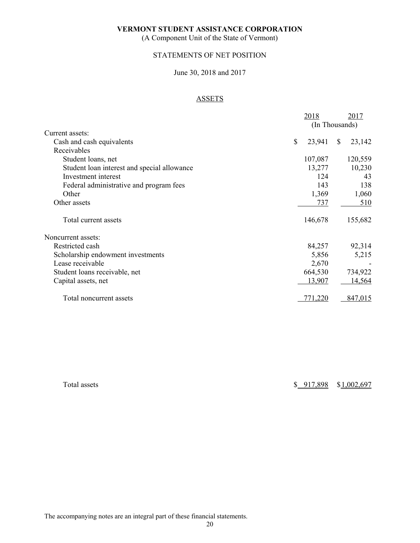(A Component Unit of the State of Vermont)

## STATEMENTS OF NET POSITION

# June 30, 2018 and 2017

# ASSETS

|                                             | 2018           |              | 2017    |
|---------------------------------------------|----------------|--------------|---------|
|                                             | (In Thousands) |              |         |
| Current assets:                             |                |              |         |
| Cash and cash equivalents                   | \$<br>23,941   | <sup>S</sup> | 23,142  |
| Receivables                                 |                |              |         |
| Student loans, net                          | 107,087        |              | 120,559 |
| Student loan interest and special allowance | 13,277         |              | 10,230  |
| Investment interest                         | 124            |              | 43      |
| Federal administrative and program fees     | 143            |              | 138     |
| Other                                       | 1,369          |              | 1,060   |
| Other assets                                | 737            |              | 510     |
| Total current assets                        | 146,678        |              | 155,682 |
| Noncurrent assets:                          |                |              |         |
| Restricted cash                             | 84,257         |              | 92,314  |
| Scholarship endowment investments           | 5,856          |              | 5,215   |
| Lease receivable                            | 2,670          |              |         |
| Student loans receivable, net               | 664,530        |              | 734,922 |
| Capital assets, net                         | 13,907         |              | 14,564  |
| Total noncurrent assets                     | 771,220        |              | 847,015 |

Total assets  $$917,898$  \$1,002,697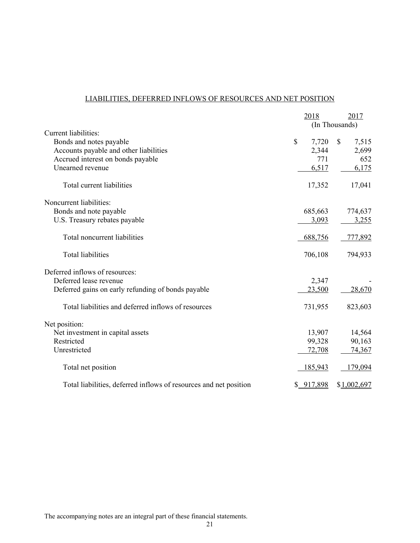# LIABILITIES, DEFERRED INFLOWS OF RESOURCES AND NET POSITION

|                                                                   | 2018           | 2017        |
|-------------------------------------------------------------------|----------------|-------------|
|                                                                   | (In Thousands) |             |
| Current liabilities:                                              |                |             |
| Bonds and notes payable                                           | \$<br>7,720    | \$<br>7,515 |
| Accounts payable and other liabilities                            | 2,344          | 2,699       |
| Accrued interest on bonds payable                                 | 771            | 652         |
| Unearned revenue                                                  | 6,517          | 6,175       |
| Total current liabilities                                         | 17,352         | 17,041      |
| Noncurrent liabilities:                                           |                |             |
| Bonds and note payable                                            | 685,663        | 774,637     |
| U.S. Treasury rebates payable                                     | 3,093          | 3,255       |
| Total noncurrent liabilities                                      | 688,756        | 777,892     |
| <b>Total liabilities</b>                                          | 706,108        | 794,933     |
| Deferred inflows of resources:                                    |                |             |
| Deferred lease revenue                                            | 2,347          |             |
| Deferred gains on early refunding of bonds payable                | 23,500         | 28,670      |
| Total liabilities and deferred inflows of resources               | 731,955        | 823,603     |
| Net position:                                                     |                |             |
| Net investment in capital assets                                  | 13,907         | 14,564      |
| Restricted                                                        | 99,328         | 90,163      |
| Unrestricted                                                      | 72,708         | 74,367      |
| Total net position                                                | 185,943        | 179,094     |
| Total liabilities, deferred inflows of resources and net position | \$917,898      | \$1,002,697 |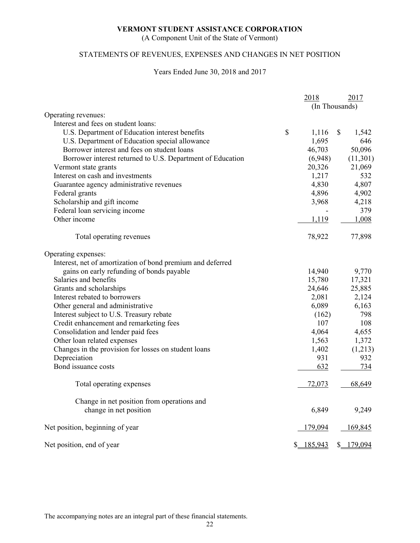(A Component Unit of the State of Vermont)

# STATEMENTS OF REVENUES, EXPENSES AND CHANGES IN NET POSITION

#### Years Ended June 30, 2018 and 2017

|                                                            |              | 2018           | 2017        |
|------------------------------------------------------------|--------------|----------------|-------------|
|                                                            |              | (In Thousands) |             |
| Operating revenues:                                        |              |                |             |
| Interest and fees on student loans:                        |              |                |             |
| U.S. Department of Education interest benefits             | $\mathbb{S}$ | 1,116          | \$<br>1,542 |
| U.S. Department of Education special allowance             |              | 1,695          | 646         |
| Borrower interest and fees on student loans                |              | 46,703         | 50,096      |
| Borrower interest returned to U.S. Department of Education |              | (6,948)        | (11,301)    |
| Vermont state grants                                       |              | 20,326         | 21,069      |
| Interest on cash and investments                           |              | 1,217          | 532         |
| Guarantee agency administrative revenues                   |              | 4,830          | 4,807       |
| Federal grants                                             |              | 4,896          | 4,902       |
| Scholarship and gift income                                |              | 3,968          | 4,218       |
| Federal loan servicing income                              |              |                | 379         |
| Other income                                               |              | 1,119          | 1,008       |
| Total operating revenues                                   |              | 78,922         | 77,898      |
| Operating expenses:                                        |              |                |             |
| Interest, net of amortization of bond premium and deferred |              |                |             |
| gains on early refunding of bonds payable                  |              | 14,940         | 9,770       |
| Salaries and benefits                                      |              | 15,780         | 17,321      |
| Grants and scholarships                                    |              | 24,646         | 25,885      |
| Interest rebated to borrowers                              |              | 2,081          | 2,124       |
| Other general and administrative                           |              | 6,089          | 6,163       |
| Interest subject to U.S. Treasury rebate                   |              | (162)          | 798         |
| Credit enhancement and remarketing fees                    |              | 107            | 108         |
| Consolidation and lender paid fees                         |              | 4,064          | 4,655       |
| Other loan related expenses                                |              | 1,563          | 1,372       |
| Changes in the provision for losses on student loans       |              | 1,402          | (1,213)     |
| Depreciation                                               |              | 931            | 932         |
| Bond issuance costs                                        |              | 632            | 734         |
| Total operating expenses                                   |              | 72,073         | 68,649      |
| Change in net position from operations and                 |              |                |             |
| change in net position                                     |              | 6,849          | 9,249       |
| Net position, beginning of year                            |              | 179,094        | 169,845     |
| Net position, end of year                                  |              | \$ 185,943     | \$ 179,094  |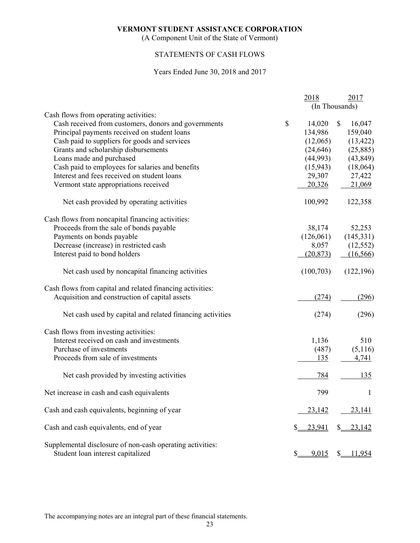(A Component Unit of the State of Vermont)

# STATEMENTS OF CASH FLOWS

#### Years Ended June 30, 2018 and 2017

|                                                                                                | 2018         | 2017           |
|------------------------------------------------------------------------------------------------|--------------|----------------|
|                                                                                                |              | (In Thousands) |
| Cash flows from operating activities:                                                          |              |                |
| Cash received from customers, donors and governments                                           | \$<br>14,020 | \$<br>16,047   |
| Principal payments received on student loans                                                   | 134,986      | 159,040        |
| Cash paid to suppliers for goods and services                                                  | (12,065)     | (13, 422)      |
| Grants and scholarship disbursements                                                           | (24, 646)    | (25,885)       |
| Loans made and purchased                                                                       | (44,993)     | (43, 849)      |
| Cash paid to employees for salaries and benefits                                               | (15, 943)    | (18,064)       |
| Interest and fees received on student loans                                                    | 29,307       | 27,422         |
| Vermont state appropriations received                                                          | 20,326       | 21,069         |
| Net cash provided by operating activities                                                      | 100,992      | 122,358        |
| Cash flows from noncapital financing activities:                                               |              |                |
| Proceeds from the sale of bonds payable                                                        | 38,174       | 52,253         |
| Payments on bonds payable                                                                      | (126,061)    | (145, 331)     |
| Decrease (increase) in restricted cash                                                         | 8,057        | (12, 552)      |
| Interest paid to bond holders                                                                  | (20, 873)    | (16,566)       |
| Net cash used by noncapital financing activities                                               | (100, 703)   | (122, 196)     |
| Cash flows from capital and related financing activities:                                      |              |                |
| Acquisition and construction of capital assets                                                 | (274)        | (296)          |
| Net cash used by capital and related financing activities                                      | (274)        | (296)          |
| Cash flows from investing activities:                                                          |              |                |
| Interest received on cash and investments                                                      | 1,136        | 510            |
| Purchase of investments                                                                        | (487)        | (5,116)        |
| Proceeds from sale of investments                                                              | 135          | 4,741          |
| Net cash provided by investing activities                                                      | 784          | 135            |
| Net increase in cash and cash equivalents                                                      | 799          | 1              |
| Cash and cash equivalents, beginning of year                                                   | 23,142       | 23,141         |
| Cash and cash equivalents, end of year                                                         | 23,941       | 23,142<br>\$_  |
| Supplemental disclosure of non-cash operating activities:<br>Student loan interest capitalized | 9,015        | <u>11,954</u>  |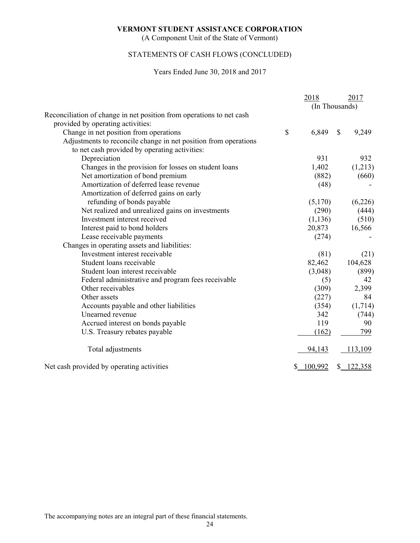(A Component Unit of the State of Vermont)

# STATEMENTS OF CASH FLOWS (CONCLUDED)

#### Years Ended June 30, 2018 and 2017

|                                                                      | 2018           |               | 2017       |
|----------------------------------------------------------------------|----------------|---------------|------------|
|                                                                      | (In Thousands) |               |            |
| Reconciliation of change in net position from operations to net cash |                |               |            |
| provided by operating activities:                                    |                |               |            |
| Change in net position from operations                               | \$<br>6,849    | $\mathcal{S}$ | 9,249      |
| Adjustments to reconcile change in net position from operations      |                |               |            |
| to net cash provided by operating activities:                        |                |               |            |
| Depreciation                                                         | 931            |               | 932        |
| Changes in the provision for losses on student loans                 | 1,402          |               | (1,213)    |
| Net amortization of bond premium                                     | (882)          |               | (660)      |
| Amortization of deferred lease revenue                               | (48)           |               |            |
| Amortization of deferred gains on early                              |                |               |            |
| refunding of bonds payable                                           | (5,170)        |               | (6,226)    |
| Net realized and unrealized gains on investments                     | (290)          |               | (444)      |
| Investment interest received                                         | (1, 136)       |               | (510)      |
| Interest paid to bond holders                                        | 20,873         |               | 16,566     |
| Lease receivable payments                                            | (274)          |               |            |
| Changes in operating assets and liabilities:                         |                |               |            |
| Investment interest receivable                                       | (81)           |               | (21)       |
| Student loans receivable                                             | 82,462         |               | 104,628    |
| Student loan interest receivable                                     | (3,048)        |               | (899)      |
| Federal administrative and program fees receivable                   | (5)            |               | 42         |
| Other receivables                                                    | (309)          |               | 2,399      |
| Other assets                                                         | (227)          |               | 84         |
| Accounts payable and other liabilities                               | (354)          |               | (1,714)    |
| Unearned revenue                                                     | 342            |               | (744)      |
| Accrued interest on bonds payable                                    | 119            |               | 90         |
| U.S. Treasury rebates payable                                        | (162)          |               | 799        |
| Total adjustments                                                    | 94,143         |               | 113,109    |
| Net cash provided by operating activities                            | 100,992        |               | \$ 122,358 |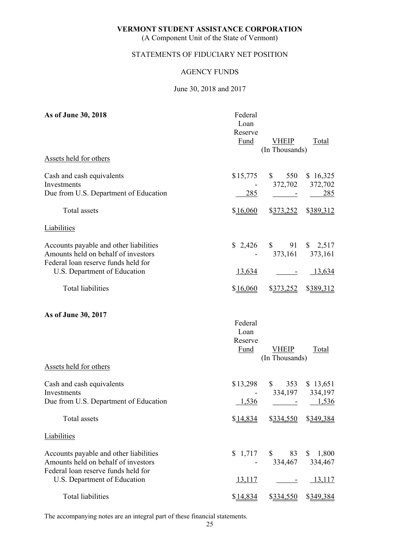(A Component Unit of the State of Vermont)

# STATEMENTS OF FIDUCIARY NET POSITION

#### AGENCY FUNDS

#### June 30, 2018 and 2017

| As of June 30, 2018                                                                                                  | Federal<br>Loan<br>Reserve<br><b>Fund</b> | <b>VHEIP</b><br>(In Thousands) | <b>Total</b>                    |
|----------------------------------------------------------------------------------------------------------------------|-------------------------------------------|--------------------------------|---------------------------------|
| Assets held for others                                                                                               |                                           |                                |                                 |
| Cash and cash equivalents<br>Investments<br>Due from U.S. Department of Education                                    | \$15,775<br>285                           | 550<br>$\mathbb{S}$<br>372,702 | \$16,325<br>372,702<br>285      |
| <b>Total</b> assets                                                                                                  | \$16,060                                  | \$373,252                      | \$389,312                       |
| <b>Liabilities</b>                                                                                                   |                                           |                                |                                 |
| Accounts payable and other liabilities<br>Amounts held on behalf of investors<br>Federal loan reserve funds held for | \$2,426                                   | 91<br>$\mathbb{S}$<br>373,161  | $\frac{$}{2,517}$<br>373,161    |
| U.S. Department of Education                                                                                         | 13,634                                    | $\overline{\phantom{a}}$       | 13,634                          |
| <b>Total liabilities</b>                                                                                             | \$16,060                                  | \$373,252                      | \$389,312                       |
| As of June 30, 2017                                                                                                  | Federal<br>Loan<br>Reserve<br>Fund        | <b>VHEIP</b><br>(In Thousands) | Total                           |
| Assets held for others                                                                                               |                                           |                                |                                 |
| Cash and cash equivalents<br>Investments<br>Due from U.S. Department of Education                                    | \$13,298<br>1,536                         | $\mathbb{S}$<br>353<br>334,197 | \$13,651<br>334,197<br>$-1,536$ |
| Total assets                                                                                                         | \$14,834                                  |                                | \$334,550 \$349,384             |
| Liabilities                                                                                                          |                                           |                                |                                 |
| Accounts payable and other liabilities<br>Amounts held on behalf of investors<br>Federal loan reserve funds held for | \$1,717                                   | $\mathbb{S}$<br>83<br>334,467  | 1,800<br>\$<br>334,467          |
| U.S. Department of Education                                                                                         | 13,117                                    |                                | 13,117                          |
| <b>Total liabilities</b>                                                                                             | \$14,834                                  | \$334,550                      | \$349,384                       |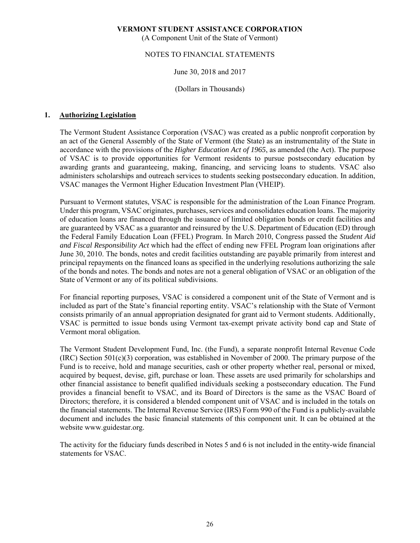(A Component Unit of the State of Vermont)

#### NOTES TO FINANCIAL STATEMENTS

#### June 30, 2018 and 2017

#### (Dollars in Thousands)

#### **1. Authorizing Legislation**

The Vermont Student Assistance Corporation (VSAC) was created as a public nonprofit corporation by an act of the General Assembly of the State of Vermont (the State) as an instrumentality of the State in accordance with the provisions of the *Higher Education Act of 1965*, as amended (the Act). The purpose of VSAC is to provide opportunities for Vermont residents to pursue postsecondary education by awarding grants and guaranteeing, making, financing, and servicing loans to students. VSAC also administers scholarships and outreach services to students seeking postsecondary education. In addition, VSAC manages the Vermont Higher Education Investment Plan (VHEIP).

Pursuant to Vermont statutes, VSAC is responsible for the administration of the Loan Finance Program. Under this program, VSAC originates, purchases, services and consolidates education loans. The majority of education loans are financed through the issuance of limited obligation bonds or credit facilities and are guaranteed by VSAC as a guarantor and reinsured by the U.S. Department of Education (ED) through the Federal Family Education Loan (FFEL) Program. In March 2010, Congress passed the *Student Aid and Fiscal Responsibility Act* which had the effect of ending new FFEL Program loan originations after June 30, 2010. The bonds, notes and credit facilities outstanding are payable primarily from interest and principal repayments on the financed loans as specified in the underlying resolutions authorizing the sale of the bonds and notes. The bonds and notes are not a general obligation of VSAC or an obligation of the State of Vermont or any of its political subdivisions.

For financial reporting purposes, VSAC is considered a component unit of the State of Vermont and is included as part of the State's financial reporting entity. VSAC's relationship with the State of Vermont consists primarily of an annual appropriation designated for grant aid to Vermont students. Additionally, VSAC is permitted to issue bonds using Vermont tax-exempt private activity bond cap and State of Vermont moral obligation.

The Vermont Student Development Fund, Inc. (the Fund), a separate nonprofit Internal Revenue Code  $(IRC)$  Section 501(c)(3) corporation, was established in November of 2000. The primary purpose of the Fund is to receive, hold and manage securities, cash or other property whether real, personal or mixed, acquired by bequest, devise, gift, purchase or loan. These assets are used primarily for scholarships and other financial assistance to benefit qualified individuals seeking a postsecondary education. The Fund provides a financial benefit to VSAC, and its Board of Directors is the same as the VSAC Board of Directors; therefore, it is considered a blended component unit of VSAC and is included in the totals on the financial statements. The Internal Revenue Service (IRS) Form 990 of the Fund is a publicly-available document and includes the basic financial statements of this component unit. It can be obtained at the website www.guidestar.org.

The activity for the fiduciary funds described in Notes 5 and 6 is not included in the entity-wide financial statements for VSAC.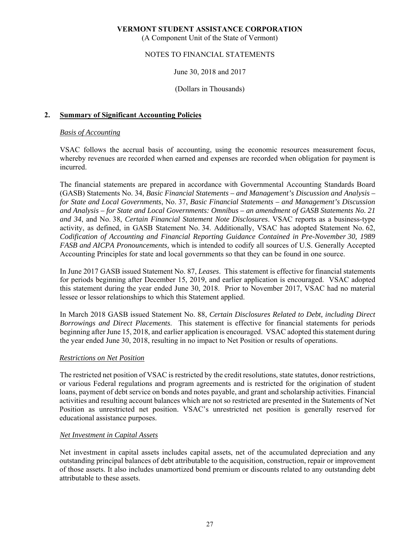(A Component Unit of the State of Vermont)

# NOTES TO FINANCIAL STATEMENTS

#### June 30, 2018 and 2017

#### (Dollars in Thousands)

#### **2. Summary of Significant Accounting Policies**

#### *Basis of Accounting*

VSAC follows the accrual basis of accounting, using the economic resources measurement focus, whereby revenues are recorded when earned and expenses are recorded when obligation for payment is incurred.

The financial statements are prepared in accordance with Governmental Accounting Standards Board (GASB) Statements No. 34, *Basic Financial Statements – and Management's Discussion and Analysis – for State and Local Governments*, No. 37, *Basic Financial Statements – and Management's Discussion and Analysis – for State and Local Governments: Omnibus – an amendment of GASB Statements No. 21 and 34*, and No. 38, *Certain Financial Statement Note Disclosures*. VSAC reports as a business-type activity, as defined, in GASB Statement No. 34. Additionally, VSAC has adopted Statement No. 62, *Codification of Accounting and Financial Reporting Guidance Contained in Pre-November 30, 1989 FASB and AICPA Pronouncements,* which is intended to codify all sources of U.S. Generally Accepted Accounting Principles for state and local governments so that they can be found in one source.

In June 2017 GASB issued Statement No. 87, *Leases*. This statement is effective for financial statements for periods beginning after December 15, 2019, and earlier application is encouraged. VSAC adopted this statement during the year ended June 30, 2018. Prior to November 2017, VSAC had no material lessee or lessor relationships to which this Statement applied.

In March 2018 GASB issued Statement No. 88, *Certain Disclosures Related to Debt, including Direct Borrowings and Direct Placements*. This statement is effective for financial statements for periods beginning after June 15, 2018, and earlier application is encouraged. VSAC adopted this statement during the year ended June 30, 2018, resulting in no impact to Net Position or results of operations.

#### *Restrictions on Net Position*

The restricted net position of VSAC is restricted by the credit resolutions, state statutes, donor restrictions, or various Federal regulations and program agreements and is restricted for the origination of student loans, payment of debt service on bonds and notes payable, and grant and scholarship activities. Financial activities and resulting account balances which are not so restricted are presented in the Statements of Net Position as unrestricted net position. VSAC's unrestricted net position is generally reserved for educational assistance purposes.

#### *Net Investment in Capital Assets*

Net investment in capital assets includes capital assets, net of the accumulated depreciation and any outstanding principal balances of debt attributable to the acquisition, construction, repair or improvement of those assets. It also includes unamortized bond premium or discounts related to any outstanding debt attributable to these assets.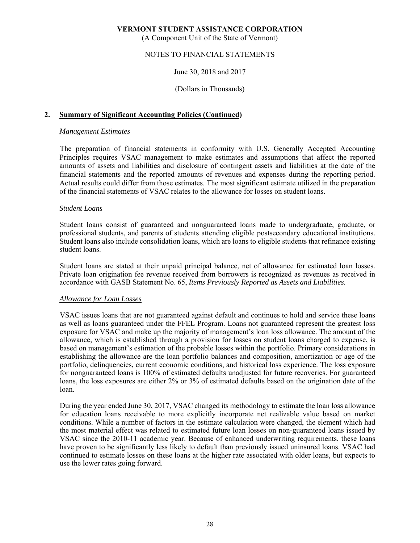(A Component Unit of the State of Vermont)

#### NOTES TO FINANCIAL STATEMENTS

#### June 30, 2018 and 2017

#### (Dollars in Thousands)

#### **2. Summary of Significant Accounting Policies (Continued)**

#### *Management Estimates*

The preparation of financial statements in conformity with U.S. Generally Accepted Accounting Principles requires VSAC management to make estimates and assumptions that affect the reported amounts of assets and liabilities and disclosure of contingent assets and liabilities at the date of the financial statements and the reported amounts of revenues and expenses during the reporting period. Actual results could differ from those estimates. The most significant estimate utilized in the preparation of the financial statements of VSAC relates to the allowance for losses on student loans.

#### *Student Loans*

Student loans consist of guaranteed and nonguaranteed loans made to undergraduate, graduate, or professional students, and parents of students attending eligible postsecondary educational institutions. Student loans also include consolidation loans, which are loans to eligible students that refinance existing student loans.

Student loans are stated at their unpaid principal balance, net of allowance for estimated loan losses. Private loan origination fee revenue received from borrowers is recognized as revenues as received in accordance with GASB Statement No. 65, *Items Previously Reported as Assets and Liabilities.* 

#### *Allowance for Loan Losses*

VSAC issues loans that are not guaranteed against default and continues to hold and service these loans as well as loans guaranteed under the FFEL Program. Loans not guaranteed represent the greatest loss exposure for VSAC and make up the majority of management's loan loss allowance. The amount of the allowance, which is established through a provision for losses on student loans charged to expense, is based on management's estimation of the probable losses within the portfolio. Primary considerations in establishing the allowance are the loan portfolio balances and composition, amortization or age of the portfolio, delinquencies, current economic conditions, and historical loss experience. The loss exposure for nonguaranteed loans is 100% of estimated defaults unadjusted for future recoveries. For guaranteed loans, the loss exposures are either 2% or 3% of estimated defaults based on the origination date of the loan.

During the year ended June 30, 2017, VSAC changed its methodology to estimate the loan loss allowance for education loans receivable to more explicitly incorporate net realizable value based on market conditions. While a number of factors in the estimate calculation were changed, the element which had the most material effect was related to estimated future loan losses on non-guaranteed loans issued by VSAC since the 2010-11 academic year. Because of enhanced underwriting requirements, these loans have proven to be significantly less likely to default than previously issued uninsured loans. VSAC had continued to estimate losses on these loans at the higher rate associated with older loans, but expects to use the lower rates going forward.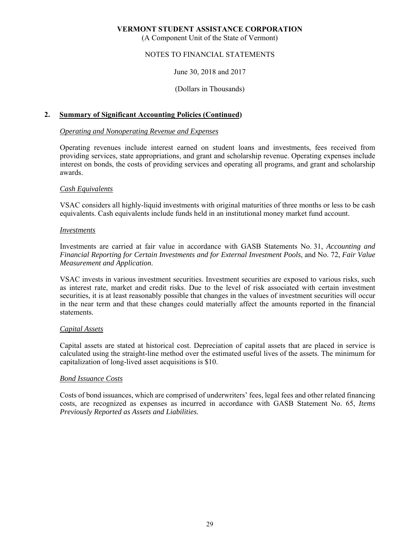(A Component Unit of the State of Vermont)

# NOTES TO FINANCIAL STATEMENTS

#### June 30, 2018 and 2017

#### (Dollars in Thousands)

#### **2. Summary of Significant Accounting Policies (Continued)**

#### *Operating and Nonoperating Revenue and Expenses*

Operating revenues include interest earned on student loans and investments, fees received from providing services, state appropriations, and grant and scholarship revenue. Operating expenses include interest on bonds, the costs of providing services and operating all programs, and grant and scholarship awards.

#### *Cash Equivalents*

VSAC considers all highly-liquid investments with original maturities of three months or less to be cash equivalents. Cash equivalents include funds held in an institutional money market fund account.

#### *Investments*

Investments are carried at fair value in accordance with GASB Statements No. 31, *Accounting and Financial Reporting for Certain Investments and for External Investment Pools*, and No. 72, *Fair Value Measurement and Application*.

VSAC invests in various investment securities. Investment securities are exposed to various risks, such as interest rate, market and credit risks. Due to the level of risk associated with certain investment securities, it is at least reasonably possible that changes in the values of investment securities will occur in the near term and that these changes could materially affect the amounts reported in the financial statements.

#### *Capital Assets*

Capital assets are stated at historical cost. Depreciation of capital assets that are placed in service is calculated using the straight-line method over the estimated useful lives of the assets. The minimum for capitalization of long-lived asset acquisitions is \$10.

#### *Bond Issuance Costs*

Costs of bond issuances, which are comprised of underwriters' fees, legal fees and other related financing costs, are recognized as expenses as incurred in accordance with GASB Statement No. 65, *Items Previously Reported as Assets and Liabilities.*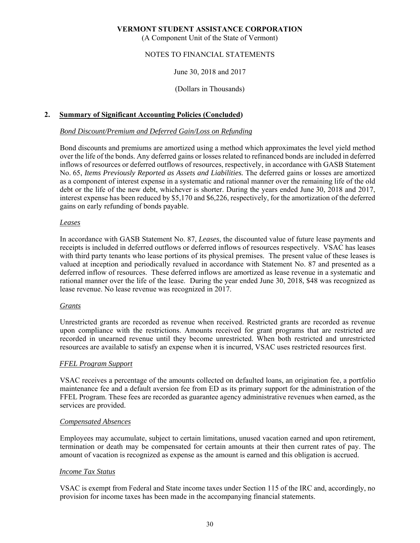(A Component Unit of the State of Vermont)

# NOTES TO FINANCIAL STATEMENTS

#### June 30, 2018 and 2017

#### (Dollars in Thousands)

#### **2. Summary of Significant Accounting Policies (Concluded)**

#### *Bond Discount/Premium and Deferred Gain/Loss on Refunding*

Bond discounts and premiums are amortized using a method which approximates the level yield method over the life of the bonds. Any deferred gains or losses related to refinanced bonds are included in deferred inflows of resources or deferred outflows of resources, respectively, in accordance with GASB Statement No. 65, *Items Previously Reported as Assets and Liabilities.* The deferred gains or losses are amortized as a component of interest expense in a systematic and rational manner over the remaining life of the old debt or the life of the new debt, whichever is shorter. During the years ended June 30, 2018 and 2017, interest expense has been reduced by \$5,170 and \$6,226, respectively, for the amortization of the deferred gains on early refunding of bonds payable.

#### *Leases*

In accordance with GASB Statement No. 87, *Leases*, the discounted value of future lease payments and receipts is included in deferred outflows or deferred inflows of resources respectively. VSAC has leases with third party tenants who lease portions of its physical premises. The present value of these leases is valued at inception and periodically revalued in accordance with Statement No. 87 and presented as a deferred inflow of resources. These deferred inflows are amortized as lease revenue in a systematic and rational manner over the life of the lease. During the year ended June 30, 2018, \$48 was recognized as lease revenue. No lease revenue was recognized in 2017.

#### *Grants*

Unrestricted grants are recorded as revenue when received. Restricted grants are recorded as revenue upon compliance with the restrictions. Amounts received for grant programs that are restricted are recorded in unearned revenue until they become unrestricted. When both restricted and unrestricted resources are available to satisfy an expense when it is incurred, VSAC uses restricted resources first.

#### *FFEL Program Support*

VSAC receives a percentage of the amounts collected on defaulted loans, an origination fee, a portfolio maintenance fee and a default aversion fee from ED as its primary support for the administration of the FFEL Program. These fees are recorded as guarantee agency administrative revenues when earned, as the services are provided.

#### *Compensated Absences*

Employees may accumulate, subject to certain limitations, unused vacation earned and upon retirement, termination or death may be compensated for certain amounts at their then current rates of pay. The amount of vacation is recognized as expense as the amount is earned and this obligation is accrued.

#### *Income Tax Status*

VSAC is exempt from Federal and State income taxes under Section 115 of the IRC and, accordingly, no provision for income taxes has been made in the accompanying financial statements.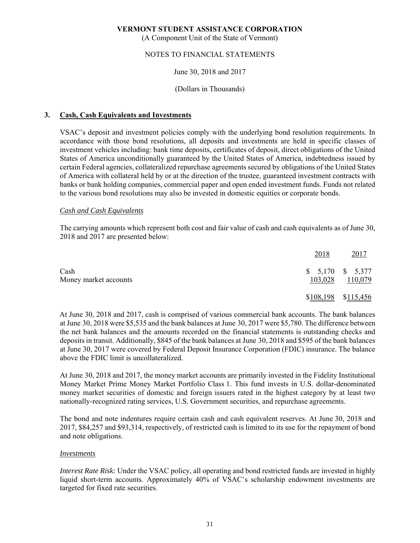(A Component Unit of the State of Vermont)

#### NOTES TO FINANCIAL STATEMENTS

#### June 30, 2018 and 2017

#### (Dollars in Thousands)

#### **3. Cash, Cash Equivalents and Investments**

VSAC's deposit and investment policies comply with the underlying bond resolution requirements. In accordance with those bond resolutions, all deposits and investments are held in specific classes of investment vehicles including: bank time deposits, certificates of deposit, direct obligations of the United States of America unconditionally guaranteed by the United States of America, indebtedness issued by certain Federal agencies, collateralized repurchase agreements secured by obligations of the United States of America with collateral held by or at the direction of the trustee, guaranteed investment contracts with banks or bank holding companies, commercial paper and open ended investment funds. Funds not related to the various bond resolutions may also be invested in domestic equities or corporate bonds.

#### *Cash and Cash Equivalents*

The carrying amounts which represent both cost and fair value of cash and cash equivalents as of June 30, 2018 and 2017 are presented below:

|                               | 2018    | 2017                         |
|-------------------------------|---------|------------------------------|
| Cash<br>Money market accounts | 103,028 | $$5,170$ $$5,377$<br>110,079 |
|                               |         | \$108,198 \$115,456          |

At June 30, 2018 and 2017, cash is comprised of various commercial bank accounts. The bank balances at June 30, 2018 were \$5,535 and the bank balances at June 30, 2017 were \$5,780. The difference between the net bank balances and the amounts recorded on the financial statements is outstanding checks and deposits in transit. Additionally, \$845 of the bank balances at June 30, 2018 and \$595 of the bank balances at June 30, 2017 were covered by Federal Deposit Insurance Corporation (FDIC) insurance. The balance above the FDIC limit is uncollateralized.

At June 30, 2018 and 2017, the money market accounts are primarily invested in the Fidelity Institutional Money Market Prime Money Market Portfolio Class 1. This fund invests in U.S. dollar-denominated money market securities of domestic and foreign issuers rated in the highest category by at least two nationally-recognized rating services, U.S. Government securities, and repurchase agreements.

The bond and note indentures require certain cash and cash equivalent reserves. At June 30, 2018 and 2017, \$84,257 and \$93,314, respectively, of restricted cash is limited to its use for the repayment of bond and note obligations.

#### *Investments*

*Interest Rate Risk:* Under the VSAC policy, all operating and bond restricted funds are invested in highly liquid short-term accounts. Approximately 40% of VSAC's scholarship endowment investments are targeted for fixed rate securities.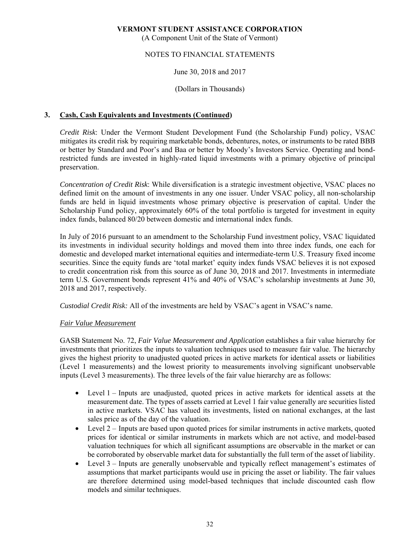(A Component Unit of the State of Vermont)

### NOTES TO FINANCIAL STATEMENTS

#### June 30, 2018 and 2017

#### (Dollars in Thousands)

### **3. Cash, Cash Equivalents and Investments (Continued)**

*Credit Risk*: Under the Vermont Student Development Fund (the Scholarship Fund) policy, VSAC mitigates its credit risk by requiring marketable bonds, debentures, notes, or instruments to be rated BBB or better by Standard and Poor's and Baa or better by Moody's Investors Service. Operating and bondrestricted funds are invested in highly-rated liquid investments with a primary objective of principal preservation.

*Concentration of Credit Risk*: While diversification is a strategic investment objective, VSAC places no defined limit on the amount of investments in any one issuer. Under VSAC policy, all non-scholarship funds are held in liquid investments whose primary objective is preservation of capital. Under the Scholarship Fund policy, approximately 60% of the total portfolio is targeted for investment in equity index funds, balanced 80/20 between domestic and international index funds.

In July of 2016 pursuant to an amendment to the Scholarship Fund investment policy, VSAC liquidated its investments in individual security holdings and moved them into three index funds, one each for domestic and developed market international equities and intermediate-term U.S. Treasury fixed income securities. Since the equity funds are 'total market' equity index funds VSAC believes it is not exposed to credit concentration risk from this source as of June 30, 2018 and 2017. Investments in intermediate term U.S. Government bonds represent 41% and 40% of VSAC's scholarship investments at June 30, 2018 and 2017, respectively.

*Custodial Credit Risk:* All of the investments are held by VSAC's agent in VSAC's name.

#### *Fair Value Measurement*

GASB Statement No. 72, *Fair Value Measurement and Application* establishes a fair value hierarchy for investments that prioritizes the inputs to valuation techniques used to measure fair value. The hierarchy gives the highest priority to unadjusted quoted prices in active markets for identical assets or liabilities (Level 1 measurements) and the lowest priority to measurements involving significant unobservable inputs (Level 3 measurements). The three levels of the fair value hierarchy are as follows:

- Level 1 Inputs are unadjusted, quoted prices in active markets for identical assets at the measurement date. The types of assets carried at Level 1 fair value generally are securities listed in active markets. VSAC has valued its investments, listed on national exchanges, at the last sales price as of the day of the valuation.
- Level  $2$  Inputs are based upon quoted prices for similar instruments in active markets, quoted prices for identical or similar instruments in markets which are not active, and model-based valuation techniques for which all significant assumptions are observable in the market or can be corroborated by observable market data for substantially the full term of the asset of liability.
- Level 3 Inputs are generally unobservable and typically reflect management's estimates of assumptions that market participants would use in pricing the asset or liability. The fair values are therefore determined using model-based techniques that include discounted cash flow models and similar techniques.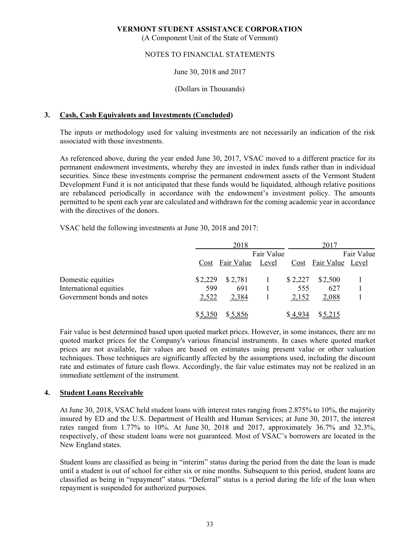(A Component Unit of the State of Vermont)

## NOTES TO FINANCIAL STATEMENTS

#### June 30, 2018 and 2017

#### (Dollars in Thousands)

#### **3. Cash, Cash Equivalents and Investments (Concluded)**

The inputs or methodology used for valuing investments are not necessarily an indication of the risk associated with those investments.

As referenced above, during the year ended June 30, 2017, VSAC moved to a different practice for its permanent endowment investments, whereby they are invested in index funds rather than in individual securities. Since these investments comprise the permanent endowment assets of the Vermont Student Development Fund it is not anticipated that these funds would be liquidated, although relative positions are rebalanced periodically in accordance with the endowment's investment policy. The amounts permitted to be spent each year are calculated and withdrawn for the coming academic year in accordance with the directives of the donors.

VSAC held the following investments at June 30, 2018 and 2017:

|                            |         | 2018                  |            |         | 2017                  |  |  |
|----------------------------|---------|-----------------------|------------|---------|-----------------------|--|--|
|                            |         |                       | Fair Value |         | Fair Value            |  |  |
|                            |         | Cost Fair Value Level |            |         | Cost Fair Value Level |  |  |
| Domestic equities          | \$2,229 | \$2,781               |            | \$2,227 | \$2,500               |  |  |
| International equities     | 599     | 691                   |            | 555     | 627                   |  |  |
| Government bonds and notes | 2,522   | 2,384                 |            | 2,152   | 2,088                 |  |  |
|                            | \$5,350 | \$5,856               |            | \$4,934 | \$5,215               |  |  |

Fair value is best determined based upon quoted market prices. However, in some instances, there are no quoted market prices for the Company's various financial instruments. In cases where quoted market prices are not available, fair values are based on estimates using present value or other valuation techniques. Those techniques are significantly affected by the assumptions used, including the discount rate and estimates of future cash flows. Accordingly, the fair value estimates may not be realized in an immediate settlement of the instrument.

#### **4. Student Loans Receivable**

At June 30, 2018, VSAC held student loans with interest rates ranging from 2.875% to 10%, the majority insured by ED and the U.S. Department of Health and Human Services; at June 30, 2017, the interest rates ranged from 1.77% to 10%. At June 30, 2018 and 2017, approximately 36.7% and 32.3%, respectively, of these student loans were not guaranteed. Most of VSAC's borrowers are located in the New England states.

Student loans are classified as being in "interim" status during the period from the date the loan is made until a student is out of school for either six or nine months. Subsequent to this period, student loans are classified as being in "repayment" status. "Deferral" status is a period during the life of the loan when repayment is suspended for authorized purposes.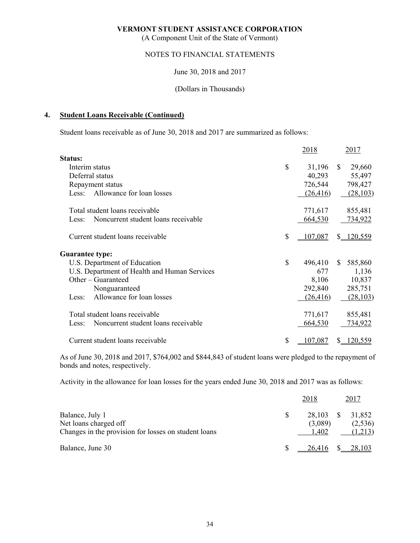(A Component Unit of the State of Vermont)

# NOTES TO FINANCIAL STATEMENTS

June 30, 2018 and 2017

#### (Dollars in Thousands)

#### **4. Student Loans Receivable (Continued)**

Student loans receivable as of June 30, 2018 and 2017 are summarized as follows:

|                                              | 2018          |               | 2017      |
|----------------------------------------------|---------------|---------------|-----------|
| <b>Status:</b>                               |               |               |           |
| Interim status                               | \$<br>31,196  | <sup>\$</sup> | 29,660    |
| Deferral status                              | 40,293        |               | 55,497    |
| Repayment status                             | 726,544       |               | 798,427   |
| Allowance for loan losses<br>Less:           | (26, 416)     |               | (28, 103) |
| Total student loans receivable               | 771,617       |               | 855,481   |
| Noncurrent student loans receivable<br>Less: | 664,530       |               | 734,922   |
| Current student loans receivable             | \$<br>107,087 | $S_{-}$       | 120,559   |
| <b>Guarantee type:</b>                       |               |               |           |
| U.S. Department of Education                 | \$<br>496,410 | S.            | 585,860   |
| U.S. Department of Health and Human Services | 677           |               | 1,136     |
| Other – Guaranteed                           | 8,106         |               | 10,837    |
| Nonguaranteed                                | 292,840       |               | 285,751   |
| Allowance for loan losses<br>Less:           | (26, 416)     |               | (28, 103) |
| Total student loans receivable               | 771,617       |               | 855,481   |
| Noncurrent student loans receivable<br>Less: | 664,530       |               | 734,922   |
| Current student loans receivable             | \$<br>107,087 | S.            | 120,559   |

As of June 30, 2018 and 2017, \$764,002 and \$844,843 of student loans were pledged to the repayment of bonds and notes, respectively.

Activity in the allowance for loan losses for the years ended June 30, 2018 and 2017 was as follows:

|                                                                                                  | 2018                                 | 2017 |                    |
|--------------------------------------------------------------------------------------------------|--------------------------------------|------|--------------------|
| Balance, July 1<br>Net loans charged off<br>Changes in the provision for losses on student loans | 28,103 \$ 31,852<br>(3,089)<br>1.402 |      | (2,536)<br>(1,213) |
| Balance, June 30                                                                                 | 26,416 \$                            |      | 28,103             |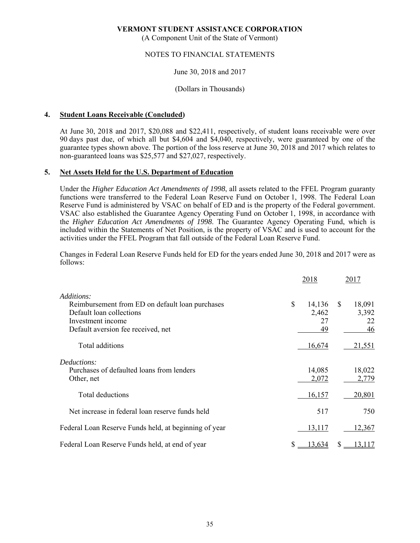(A Component Unit of the State of Vermont)

#### NOTES TO FINANCIAL STATEMENTS

#### June 30, 2018 and 2017

#### (Dollars in Thousands)

#### **4. Student Loans Receivable (Concluded)**

At June 30, 2018 and 2017, \$20,088 and \$22,411, respectively, of student loans receivable were over 90 days past due, of which all but \$4,604 and \$4,040, respectively, were guaranteed by one of the guarantee types shown above. The portion of the loss reserve at June 30, 2018 and 2017 which relates to non-guaranteed loans was \$25,577 and \$27,027, respectively.

#### **5. Net Assets Held for the U.S. Department of Education**

Under the *Higher Education Act Amendments of 1998*, all assets related to the FFEL Program guaranty functions were transferred to the Federal Loan Reserve Fund on October 1, 1998. The Federal Loan Reserve Fund is administered by VSAC on behalf of ED and is the property of the Federal government. VSAC also established the Guarantee Agency Operating Fund on October 1, 1998, in accordance with the *Higher Education Act Amendments of 1998*. The Guarantee Agency Operating Fund, which is included within the Statements of Net Position, is the property of VSAC and is used to account for the activities under the FFEL Program that fall outside of the Federal Loan Reserve Fund.

Changes in Federal Loan Reserve Funds held for ED for the years ended June 30, 2018 and 2017 were as follows:

|                                                                                                                                        | 2018                              |    | 2017                        |  |
|----------------------------------------------------------------------------------------------------------------------------------------|-----------------------------------|----|-----------------------------|--|
| Additions:                                                                                                                             |                                   |    |                             |  |
| Reimbursement from ED on default loan purchases<br>Default loan collections<br>Investment income<br>Default aversion fee received, net | \$<br>14,136<br>2,462<br>27<br>49 | \$ | 18,091<br>3,392<br>22<br>46 |  |
| Total additions                                                                                                                        | 16,674                            |    | <u>21,551</u>               |  |
| Deductions:<br>Purchases of defaulted loans from lenders<br>Other, net                                                                 | 14,085<br>2,072                   |    | 18,022<br>2,779             |  |
| Total deductions                                                                                                                       | 16,157                            |    | 20,801                      |  |
| Net increase in federal loan reserve funds held                                                                                        | 517                               |    | 750                         |  |
| Federal Loan Reserve Funds held, at beginning of year                                                                                  | 13,117                            |    | 12,367                      |  |
| Federal Loan Reserve Funds held, at end of year                                                                                        | <u>13,634</u>                     | \$ | 13,117                      |  |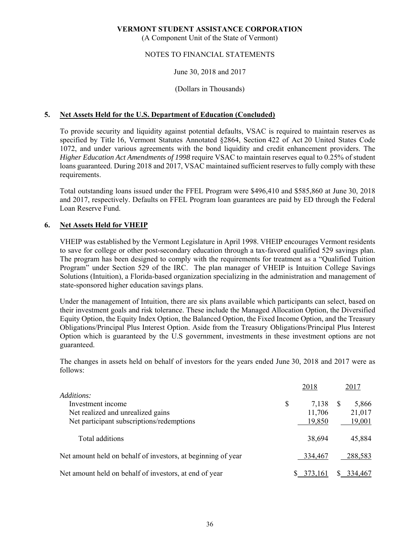(A Component Unit of the State of Vermont)

#### NOTES TO FINANCIAL STATEMENTS

#### June 30, 2018 and 2017

#### (Dollars in Thousands)

#### **5. Net Assets Held for the U.S. Department of Education (Concluded)**

To provide security and liquidity against potential defaults, VSAC is required to maintain reserves as specified by Title 16, Vermont Statutes Annotated §2864, Section 422 of Act 20 United States Code 1072, and under various agreements with the bond liquidity and credit enhancement providers. The *Higher Education Act Amendments of 1998* require VSAC to maintain reserves equal to 0.25% of student loans guaranteed. During 2018 and 2017, VSAC maintained sufficient reserves to fully comply with these requirements.

Total outstanding loans issued under the FFEL Program were \$496,410 and \$585,860 at June 30, 2018 and 2017, respectively. Defaults on FFEL Program loan guarantees are paid by ED through the Federal Loan Reserve Fund.

#### **6. Net Assets Held for VHEIP**

VHEIP was established by the Vermont Legislature in April 1998. VHEIP encourages Vermont residents to save for college or other post-secondary education through a tax-favored qualified 529 savings plan. The program has been designed to comply with the requirements for treatment as a "Qualified Tuition Program" under Section 529 of the IRC. The plan manager of VHEIP is Intuition College Savings Solutions (Intuition), a Florida-based organization specializing in the administration and management of state-sponsored higher education savings plans.

Under the management of Intuition, there are six plans available which participants can select, based on their investment goals and risk tolerance. These include the Managed Allocation Option, the Diversified Equity Option, the Equity Index Option, the Balanced Option, the Fixed Income Option, and the Treasury Obligations/Principal Plus Interest Option. Aside from the Treasury Obligations/Principal Plus Interest Option which is guaranteed by the U.S government, investments in these investment options are not guaranteed.

The changes in assets held on behalf of investors for the years ended June 30, 2018 and 2017 were as follows:

|                                                              | 2018        | 2017    |
|--------------------------------------------------------------|-------------|---------|
| <i>Additions:</i>                                            |             |         |
| Investment income                                            | \$<br>7,138 | 5,866   |
| Net realized and unrealized gains                            | 11,706      | 21,017  |
| Net participant subscriptions/redemptions                    | 19,850      | 19,001  |
| Total additions                                              | 38,694      | 45,884  |
| Net amount held on behalf of investors, at beginning of year | 334,467     | 288,583 |
| Net amount held on behalf of investors, at end of year       | 373,161     | 334,467 |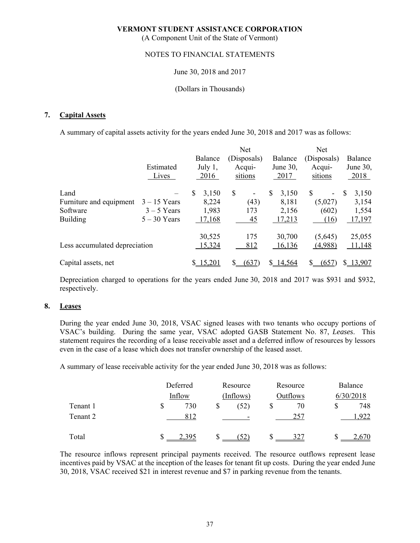(A Component Unit of the State of Vermont)

#### NOTES TO FINANCIAL STATEMENTS

#### June 30, 2018 and 2017

#### (Dollars in Thousands)

#### **7. Capital Assets**

A summary of capital assets activity for the years ended June 30, 2018 and 2017 was as follows:

|                               |                |              | <b>Net</b>                     |             | Net         |                        |
|-------------------------------|----------------|--------------|--------------------------------|-------------|-------------|------------------------|
|                               |                | Balance      | (Disposals)                    | Balance     | (Disposals) | Balance                |
|                               | Estimated      | July 1,      | Acqui-                         | June 30,    | Acqui-      | June 30,               |
|                               | Lives          | 2016         | sitions                        | 2017        | sitions     | 2018                   |
| Land                          |                | \$.<br>3,150 | \$<br>$\overline{\phantom{a}}$ | \$<br>3,150 | S<br>۰      | <sup>\$</sup><br>3,150 |
| Furniture and equipment       | $3 - 15$ Years | 8,224        | (43)                           | 8,181       | (5,027)     | 3,154                  |
| Software                      | $3 - 5$ Years  | 1,983        | 173                            | 2,156       | (602)       | 1,554                  |
| <b>Building</b>               | $5 - 30$ Years | 17,168       | 45                             | 17,213      | (16)        | 17,197                 |
|                               |                | 30,525       | 175                            | 30,700      | (5,645)     | 25,055                 |
| Less accumulated depreciation |                | 15,324       | 812                            | 16,136      | (4,988)     | 11,148                 |
| Capital assets, net           |                | 15,201       | (637                           | \$14,564    | (657)       | \$13,907               |

Depreciation charged to operations for the years ended June 30, 2018 and 2017 was \$931 and \$932, respectively.

#### **8. Leases**

During the year ended June 30, 2018, VSAC signed leases with two tenants who occupy portions of VSAC's building. During the same year, VSAC adopted GASB Statement No. 87, *Leases*. This statement requires the recording of a lease receivable asset and a deferred inflow of resources by lessors even in the case of a lease which does not transfer ownership of the leased asset.

A summary of lease receivable activity for the year ended June 30, 2018 was as follows:

|          |    | Deferred<br>Inflow |  | Resource<br>(Inflows)    |    | Resource | Balance   |      |  |
|----------|----|--------------------|--|--------------------------|----|----------|-----------|------|--|
|          |    |                    |  |                          |    | Outflows | 6/30/2018 |      |  |
| Tenant 1 | \$ | 730                |  | (52)                     | \$ | 70       | S         | 748  |  |
| Tenant 2 |    | 812                |  | $\overline{\phantom{0}}$ |    | 257      |           | ,922 |  |
| Total    |    |                    |  | (52)                     |    | 327      |           |      |  |

The resource inflows represent principal payments received. The resource outflows represent lease incentives paid by VSAC at the inception of the leases for tenant fit up costs. During the year ended June 30, 2018, VSAC received \$21 in interest revenue and \$7 in parking revenue from the tenants.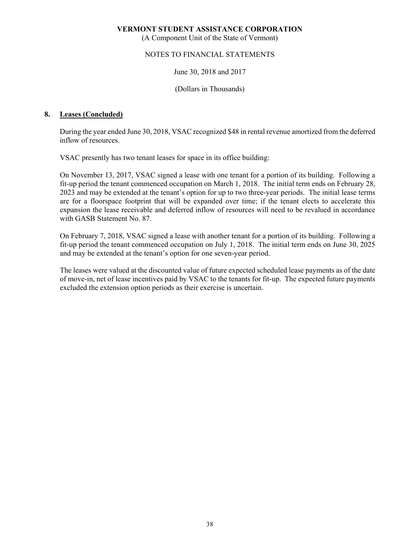(A Component Unit of the State of Vermont)

#### NOTES TO FINANCIAL STATEMENTS

#### June 30, 2018 and 2017

(Dollars in Thousands)

#### **8. Leases (Concluded)**

During the year ended June 30, 2018, VSAC recognized \$48 in rental revenue amortized from the deferred inflow of resources.

VSAC presently has two tenant leases for space in its office building:

 On November 13, 2017, VSAC signed a lease with one tenant for a portion of its building. Following a fit-up period the tenant commenced occupation on March 1, 2018. The initial term ends on February 28, 2023 and may be extended at the tenant's option for up to two three-year periods. The initial lease terms are for a floorspace footprint that will be expanded over time; if the tenant elects to accelerate this expansion the lease receivable and deferred inflow of resources will need to be revalued in accordance with GASB Statement No. 87.

 On February 7, 2018, VSAC signed a lease with another tenant for a portion of its building. Following a fit-up period the tenant commenced occupation on July 1, 2018. The initial term ends on June 30, 2025 and may be extended at the tenant's option for one seven-year period.

 The leases were valued at the discounted value of future expected scheduled lease payments as of the date of move-in, net of lease incentives paid by VSAC to the tenants for fit-up. The expected future payments excluded the extension option periods as their exercise is uncertain.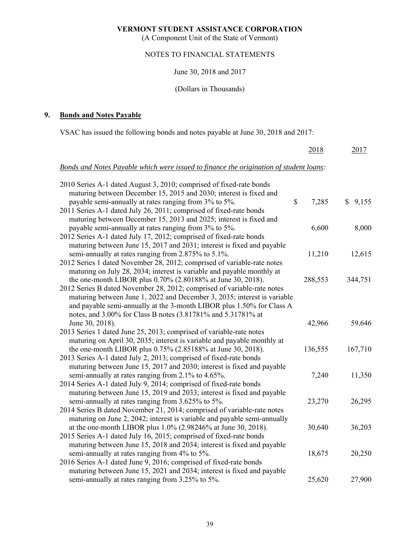(A Component Unit of the State of Vermont)

# NOTES TO FINANCIAL STATEMENTS

#### June 30, 2018 and 2017

# (Dollars in Thousands)

# **9. Bonds and Notes Payable**

VSAC has issued the following bonds and notes payable at June 30, 2018 and 2017:

|                                                                                        | 2018        | 2017    |
|----------------------------------------------------------------------------------------|-------------|---------|
| Bonds and Notes Payable which were issued to finance the origination of student loans: |             |         |
| 2010 Series A-1 dated August 3, 2010; comprised of fixed-rate bonds                    |             |         |
| maturing between December 15, 2015 and 2030; interest is fixed and                     |             |         |
| payable semi-annually at rates ranging from 3% to 5%.                                  | \$<br>7,285 | \$9,155 |
| 2011 Series A-1 dated July 26, 2011; comprised of fixed-rate bonds                     |             |         |
| maturing between December 15, 2013 and 2025; interest is fixed and                     |             |         |
| payable semi-annually at rates ranging from 3% to 5%.                                  | 6,600       | 8,000   |
| 2012 Series A-1 dated July 17, 2012; comprised of fixed-rate bonds                     |             |         |
| maturing between June 15, 2017 and 2031; interest is fixed and payable                 |             |         |
| semi-annually at rates ranging from 2.875% to 5.1%.                                    | 11,210      | 12,615  |
| 2012 Series 1 dated November 28, 2012; comprised of variable-rate notes                |             |         |
| maturing on July 28, 2034; interest is variable and payable monthly at                 |             |         |
| the one-month LIBOR plus 0.70% (2.80188% at June 30, 2018).                            | 288,553     | 344,751 |
| 2012 Series B dated November 28, 2012; comprised of variable-rate notes                |             |         |
| maturing between June 1, 2022 and December 3, 2035; interest is variable               |             |         |
| and payable semi-annually at the 3-month LIBOR plus 1.50% for Class A                  |             |         |
| notes, and 3.00% for Class B notes (3.81781% and 5.31781% at                           |             |         |
| June 30, 2018).                                                                        | 42,966      | 59,646  |
| 2013 Series 1 dated June 25, 2013; comprised of variable-rate notes                    |             |         |
| maturing on April 30, 2035; interest is variable and payable monthly at                |             |         |
| the one-month LIBOR plus 0.75% (2.85188% at June 30, 2018).                            | 136,555     | 167,710 |
| 2013 Series A-1 dated July 2, 2013; comprised of fixed-rate bonds                      |             |         |
| maturing between June 15, 2017 and 2030; interest is fixed and payable                 |             |         |
| semi-annually at rates ranging from 2.1% to 4.65%.                                     | 7,240       | 11,350  |
| 2014 Series A-1 dated July 9, 2014; comprised of fixed-rate bonds                      |             |         |
| maturing between June 15, 2019 and 2033; interest is fixed and payable                 |             |         |
| semi-annually at rates ranging from 3.625% to 5%.                                      | 23,270      | 26,295  |
| 2014 Series B dated November 21, 2014; comprised of variable-rate notes                |             |         |
| maturing on June 2, 2042; interest is variable and payable semi-annually               |             |         |
| at the one-month LIBOR plus 1.0% (2.98246% at June 30, 2018).                          | 30,640      | 36,203  |
| 2015 Series A-1 dated July 16, 2015; comprised of fixed-rate bonds                     |             |         |
| maturing between June 15, 2018 and 2034; interest is fixed and payable                 |             |         |
| semi-annually at rates ranging from 4% to 5%.                                          | 18,675      | 20,250  |
| 2016 Series A-1 dated June 9, 2016; comprised of fixed-rate bonds                      |             |         |
| maturing between June 15, 2021 and 2034; interest is fixed and payable                 |             |         |
| semi-annually at rates ranging from 3.25% to 5%.                                       | 25,620      | 27,900  |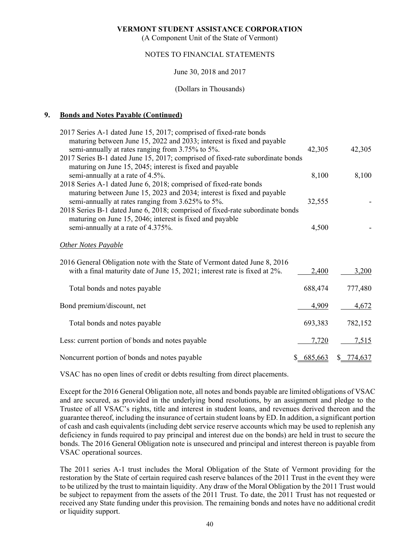(A Component Unit of the State of Vermont)

#### NOTES TO FINANCIAL STATEMENTS

June 30, 2018 and 2017

(Dollars in Thousands)

#### **9. Bonds and Notes Payable (Continued)**

| 2017 Series A-1 dated June 15, 2017; comprised of fixed-rate bonds                                      |           |               |
|---------------------------------------------------------------------------------------------------------|-----------|---------------|
| maturing between June 15, 2022 and 2033; interest is fixed and payable                                  |           |               |
| semi-annually at rates ranging from 3.75% to 5%.                                                        | 42,305    | 42,305        |
| 2017 Series B-1 dated June 15, 2017; comprised of fixed-rate subordinate bonds                          |           |               |
| maturing on June 15, 2045; interest is fixed and payable                                                |           |               |
| semi-annually at a rate of 4.5%.                                                                        | 8,100     | 8,100         |
| 2018 Series A-1 dated June 6, 2018; comprised of fixed-rate bonds                                       |           |               |
| maturing between June 15, 2023 and 2034; interest is fixed and payable                                  |           |               |
| semi-annually at rates ranging from 3.625% to 5%.                                                       | 32,555    |               |
| 2018 Series B-1 dated June 6, 2018; comprised of fixed-rate subordinate bonds                           |           |               |
| maturing on June 15, 2046; interest is fixed and payable                                                |           |               |
| semi-annually at a rate of 4.375%.                                                                      | 4,500     |               |
| <b>Other Notes Payable</b><br>2016 General Obligation note with the State of Vermont dated June 8, 2016 |           |               |
| with a final maturity date of June 15, 2021; interest rate is fixed at 2%.                              | 2,400     | 3,200         |
| Total bonds and notes payable                                                                           | 688,474   | 777,480       |
| Bond premium/discount, net                                                                              | 4,909     | 4,672         |
| Total bonds and notes payable                                                                           | 693,383   | 782,152       |
| Less: current portion of bonds and notes payable                                                        | 7,720     | 7,515         |
| Noncurrent portion of bonds and notes payable                                                           | \$685,663 | 774,637<br>S. |

VSAC has no open lines of credit or debts resulting from direct placements.

Except for the 2016 General Obligation note, all notes and bonds payable are limited obligations of VSAC and are secured, as provided in the underlying bond resolutions, by an assignment and pledge to the Trustee of all VSAC's rights, title and interest in student loans, and revenues derived thereon and the guarantee thereof, including the insurance of certain student loans by ED. In addition, a significant portion of cash and cash equivalents (including debt service reserve accounts which may be used to replenish any deficiency in funds required to pay principal and interest due on the bonds) are held in trust to secure the bonds. The 2016 General Obligation note is unsecured and principal and interest thereon is payable from VSAC operational sources.

The 2011 series A-1 trust includes the Moral Obligation of the State of Vermont providing for the restoration by the State of certain required cash reserve balances of the 2011 Trust in the event they were to be utilized by the trust to maintain liquidity. Any draw of the Moral Obligation by the 2011 Trust would be subject to repayment from the assets of the 2011 Trust. To date, the 2011 Trust has not requested or received any State funding under this provision. The remaining bonds and notes have no additional credit or liquidity support.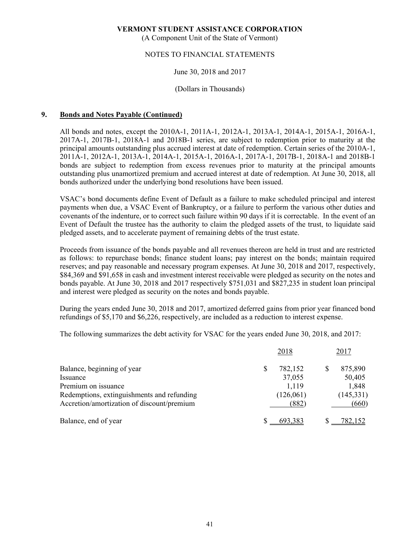(A Component Unit of the State of Vermont)

#### NOTES TO FINANCIAL STATEMENTS

#### June 30, 2018 and 2017

#### (Dollars in Thousands)

#### **9. Bonds and Notes Payable (Continued)**

All bonds and notes, except the 2010A-1, 2011A-1, 2012A-1, 2013A-1, 2014A-1, 2015A-1, 2016A-1, 2017A-1, 2017B-1, 2018A-1 and 2018B-1 series, are subject to redemption prior to maturity at the principal amounts outstanding plus accrued interest at date of redemption. Certain series of the 2010A-1, 2011A-1, 2012A-1, 2013A-1, 2014A-1, 2015A-1, 2016A-1, 2017A-1, 2017B-1, 2018A-1 and 2018B-1 bonds are subject to redemption from excess revenues prior to maturity at the principal amounts outstanding plus unamortized premium and accrued interest at date of redemption. At June 30, 2018, all bonds authorized under the underlying bond resolutions have been issued.

VSAC's bond documents define Event of Default as a failure to make scheduled principal and interest payments when due, a VSAC Event of Bankruptcy, or a failure to perform the various other duties and covenants of the indenture, or to correct such failure within 90 days if it is correctable. In the event of an Event of Default the trustee has the authority to claim the pledged assets of the trust, to liquidate said pledged assets, and to accelerate payment of remaining debts of the trust estate.

Proceeds from issuance of the bonds payable and all revenues thereon are held in trust and are restricted as follows: to repurchase bonds; finance student loans; pay interest on the bonds; maintain required reserves; and pay reasonable and necessary program expenses. At June 30, 2018 and 2017, respectively, \$84,369 and \$91,658 in cash and investment interest receivable were pledged as security on the notes and bonds payable. At June 30, 2018 and 2017 respectively \$751,031 and \$827,235 in student loan principal and interest were pledged as security on the notes and bonds payable.

During the years ended June 30, 2018 and 2017, amortized deferred gains from prior year financed bond refundings of \$5,170 and \$6,226, respectively, are included as a reduction to interest expense.

The following summarizes the debt activity for VSAC for the years ended June 30, 2018, and 2017:

|                                            | 2018 |           |   | 2017       |
|--------------------------------------------|------|-----------|---|------------|
| Balance, beginning of year                 | S    | 782,152   | S | 875,890    |
| Issuance                                   |      | 37,055    |   | 50,405     |
| Premium on issuance                        |      | 1,119     |   | 1,848      |
| Redemptions, extinguishments and refunding |      | (126,061) |   | (145, 331) |
| Accretion/amortization of discount/premium |      | (882)     |   | (660)      |
| Balance, end of year                       |      | 693.383   |   | 782.152    |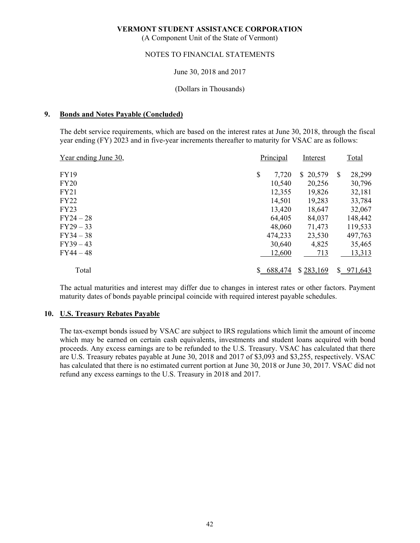(A Component Unit of the State of Vermont)

#### NOTES TO FINANCIAL STATEMENTS

#### June 30, 2018 and 2017

#### (Dollars in Thousands)

#### **9. Bonds and Notes Payable (Concluded)**

The debt service requirements, which are based on the interest rates at June 30, 2018, through the fiscal year ending (FY) 2023 and in five-year increments thereafter to maturity for VSAC are as follows:

| Year ending June 30, | Principal   | Interest     |    | Total   |
|----------------------|-------------|--------------|----|---------|
| <b>FY19</b>          | \$<br>7,720 | 20,579<br>S. | S  | 28,299  |
| FY20                 | 10,540      | 20,256       |    | 30,796  |
| FY21                 | 12,355      | 19,826       |    | 32,181  |
| <b>FY22</b>          | 14,501      | 19,283       |    | 33,784  |
| FY23                 | 13,420      | 18,647       |    | 32,067  |
| FY24 – 28            | 64,405      | 84,037       |    | 148,442 |
| FY29 – 33            | 48,060      | 71,473       |    | 119,533 |
| FY34 – 38            | 474,233     | 23,530       |    | 497,763 |
| FY39 – 43            | 30,640      | 4,825        |    | 35,465  |
| FY44 – 48            | 12,600      | 713          |    | 13,313  |
| Total                | 688,474     | \$283,169    | S. | 971,643 |

The actual maturities and interest may differ due to changes in interest rates or other factors. Payment maturity dates of bonds payable principal coincide with required interest payable schedules.

#### **10. U.S. Treasury Rebates Payable**

The tax-exempt bonds issued by VSAC are subject to IRS regulations which limit the amount of income which may be earned on certain cash equivalents, investments and student loans acquired with bond proceeds. Any excess earnings are to be refunded to the U.S. Treasury. VSAC has calculated that there are U.S. Treasury rebates payable at June 30, 2018 and 2017 of \$3,093 and \$3,255, respectively. VSAC has calculated that there is no estimated current portion at June 30, 2018 or June 30, 2017. VSAC did not refund any excess earnings to the U.S. Treasury in 2018 and 2017.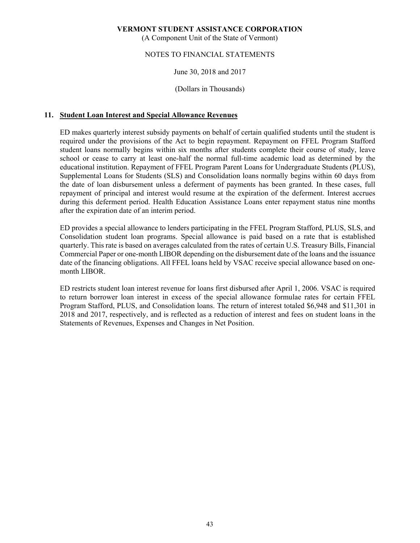(A Component Unit of the State of Vermont)

#### NOTES TO FINANCIAL STATEMENTS

#### June 30, 2018 and 2017

#### (Dollars in Thousands)

#### **11. Student Loan Interest and Special Allowance Revenues**

ED makes quarterly interest subsidy payments on behalf of certain qualified students until the student is required under the provisions of the Act to begin repayment. Repayment on FFEL Program Stafford student loans normally begins within six months after students complete their course of study, leave school or cease to carry at least one-half the normal full-time academic load as determined by the educational institution. Repayment of FFEL Program Parent Loans for Undergraduate Students (PLUS), Supplemental Loans for Students (SLS) and Consolidation loans normally begins within 60 days from the date of loan disbursement unless a deferment of payments has been granted. In these cases, full repayment of principal and interest would resume at the expiration of the deferment. Interest accrues during this deferment period. Health Education Assistance Loans enter repayment status nine months after the expiration date of an interim period.

ED provides a special allowance to lenders participating in the FFEL Program Stafford, PLUS, SLS, and Consolidation student loan programs. Special allowance is paid based on a rate that is established quarterly. This rate is based on averages calculated from the rates of certain U.S. Treasury Bills, Financial Commercial Paper or one-month LIBOR depending on the disbursement date of the loans and the issuance date of the financing obligations. All FFEL loans held by VSAC receive special allowance based on onemonth LIBOR.

ED restricts student loan interest revenue for loans first disbursed after April 1, 2006. VSAC is required to return borrower loan interest in excess of the special allowance formulae rates for certain FFEL Program Stafford, PLUS, and Consolidation loans. The return of interest totaled \$6,948 and \$11,301 in 2018 and 2017, respectively, and is reflected as a reduction of interest and fees on student loans in the Statements of Revenues, Expenses and Changes in Net Position.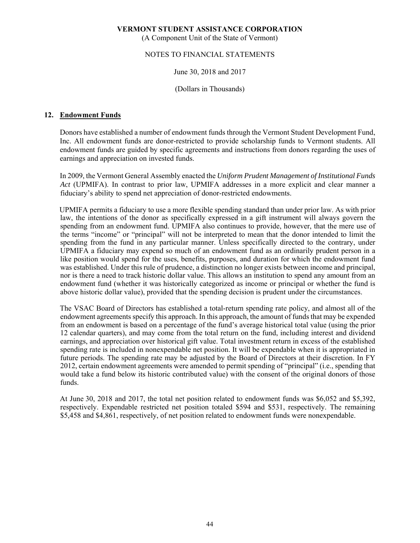(A Component Unit of the State of Vermont)

#### NOTES TO FINANCIAL STATEMENTS

#### June 30, 2018 and 2017

(Dollars in Thousands)

#### **12. Endowment Funds**

Donors have established a number of endowment funds through the Vermont Student Development Fund, Inc. All endowment funds are donor-restricted to provide scholarship funds to Vermont students. All endowment funds are guided by specific agreements and instructions from donors regarding the uses of earnings and appreciation on invested funds.

In 2009, the Vermont General Assembly enacted the *Uniform Prudent Management of Institutional Funds Act* (UPMIFA). In contrast to prior law, UPMIFA addresses in a more explicit and clear manner a fiduciary's ability to spend net appreciation of donor-restricted endowments.

UPMIFA permits a fiduciary to use a more flexible spending standard than under prior law. As with prior law, the intentions of the donor as specifically expressed in a gift instrument will always govern the spending from an endowment fund. UPMIFA also continues to provide, however, that the mere use of the terms "income" or "principal" will not be interpreted to mean that the donor intended to limit the spending from the fund in any particular manner. Unless specifically directed to the contrary, under UPMIFA a fiduciary may expend so much of an endowment fund as an ordinarily prudent person in a like position would spend for the uses, benefits, purposes, and duration for which the endowment fund was established. Under this rule of prudence, a distinction no longer exists between income and principal, nor is there a need to track historic dollar value. This allows an institution to spend any amount from an endowment fund (whether it was historically categorized as income or principal or whether the fund is above historic dollar value), provided that the spending decision is prudent under the circumstances.

The VSAC Board of Directors has established a total-return spending rate policy, and almost all of the endowment agreements specify this approach. In this approach, the amount of funds that may be expended from an endowment is based on a percentage of the fund's average historical total value (using the prior 12 calendar quarters), and may come from the total return on the fund, including interest and dividend earnings, and appreciation over historical gift value. Total investment return in excess of the established spending rate is included in nonexpendable net position. It will be expendable when it is appropriated in future periods. The spending rate may be adjusted by the Board of Directors at their discretion. In FY 2012, certain endowment agreements were amended to permit spending of "principal" (i.e., spending that would take a fund below its historic contributed value) with the consent of the original donors of those funds.

At June 30, 2018 and 2017, the total net position related to endowment funds was \$6,052 and \$5,392, respectively. Expendable restricted net position totaled \$594 and \$531, respectively. The remaining \$5,458 and \$4,861, respectively, of net position related to endowment funds were nonexpendable.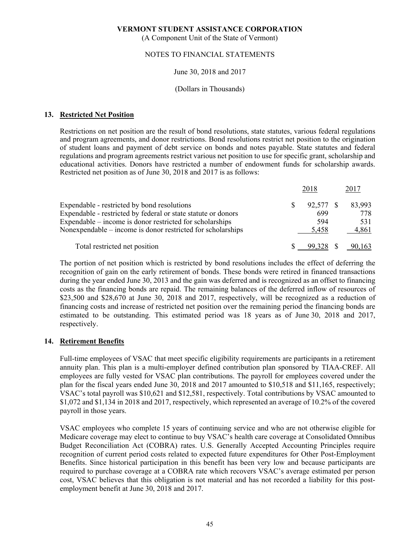(A Component Unit of the State of Vermont)

#### NOTES TO FINANCIAL STATEMENTS

#### June 30, 2018 and 2017

#### (Dollars in Thousands)

#### **13. Restricted Net Position**

Restrictions on net position are the result of bond resolutions, state statutes, various federal regulations and program agreements, and donor restrictions. Bond resolutions restrict net position to the origination of student loans and payment of debt service on bonds and notes payable. State statutes and federal regulations and program agreements restrict various net position to use for specific grant, scholarship and educational activities. Donors have restricted a number of endowment funds for scholarship awards. Restricted net position as of June 30, 2018 and 2017 is as follows:

|                                                               |    | 2018      | 2017   |
|---------------------------------------------------------------|----|-----------|--------|
| Expendable - restricted by bond resolutions                   | S. | 92,577 \$ | 83,993 |
| Expendable - restricted by federal or state statute or donors |    | 699       | 778    |
| Expendable – income is donor restricted for scholarships      |    | 594       | 531    |
| Nonexpendable – income is donor restricted for scholarships   |    | 5.458     | 4,861  |
| Total restricted net position                                 |    |           | 90,163 |

The portion of net position which is restricted by bond resolutions includes the effect of deferring the recognition of gain on the early retirement of bonds. These bonds were retired in financed transactions during the year ended June 30, 2013 and the gain was deferred and is recognized as an offset to financing costs as the financing bonds are repaid. The remaining balances of the deferred inflow of resources of \$23,500 and \$28,670 at June 30, 2018 and 2017, respectively, will be recognized as a reduction of financing costs and increase of restricted net position over the remaining period the financing bonds are estimated to be outstanding. This estimated period was 18 years as of June 30, 2018 and 2017, respectively.

#### **14. Retirement Benefits**

Full-time employees of VSAC that meet specific eligibility requirements are participants in a retirement annuity plan. This plan is a multi-employer defined contribution plan sponsored by TIAA-CREF. All employees are fully vested for VSAC plan contributions. The payroll for employees covered under the plan for the fiscal years ended June 30, 2018 and 2017 amounted to \$10,518 and \$11,165, respectively; VSAC's total payroll was \$10,621 and \$12,581, respectively. Total contributions by VSAC amounted to \$1,072 and \$1,134 in 2018 and 2017, respectively, which represented an average of 10.2% of the covered payroll in those years.

VSAC employees who complete 15 years of continuing service and who are not otherwise eligible for Medicare coverage may elect to continue to buy VSAC's health care coverage at Consolidated Omnibus Budget Reconciliation Act (COBRA) rates. U.S. Generally Accepted Accounting Principles require recognition of current period costs related to expected future expenditures for Other Post-Employment Benefits. Since historical participation in this benefit has been very low and because participants are required to purchase coverage at a COBRA rate which recovers VSAC's average estimated per person cost, VSAC believes that this obligation is not material and has not recorded a liability for this postemployment benefit at June 30, 2018 and 2017.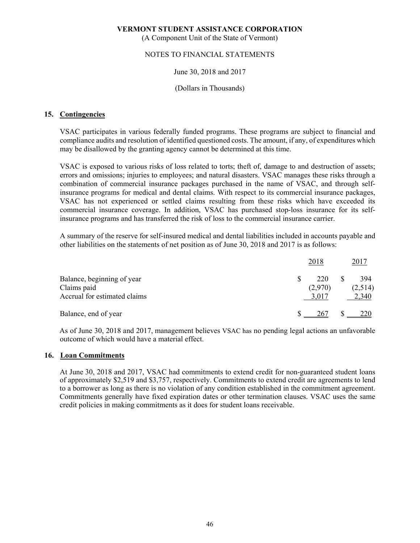(A Component Unit of the State of Vermont)

#### NOTES TO FINANCIAL STATEMENTS

#### June 30, 2018 and 2017

#### (Dollars in Thousands)

#### **15. Contingencies**

VSAC participates in various federally funded programs. These programs are subject to financial and compliance audits and resolution of identified questioned costs. The amount, if any, of expenditures which may be disallowed by the granting agency cannot be determined at this time.

VSAC is exposed to various risks of loss related to torts; theft of, damage to and destruction of assets; errors and omissions; injuries to employees; and natural disasters. VSAC manages these risks through a combination of commercial insurance packages purchased in the name of VSAC, and through selfinsurance programs for medical and dental claims. With respect to its commercial insurance packages, VSAC has not experienced or settled claims resulting from these risks which have exceeded its commercial insurance coverage. In addition, VSAC has purchased stop-loss insurance for its selfinsurance programs and has transferred the risk of loss to the commercial insurance carrier.

A summary of the reserve for self-insured medical and dental liabilities included in accounts payable and other liabilities on the statements of net position as of June 30, 2018 and 2017 is as follows:

|                                                                           | 2018                    | 2017                    |
|---------------------------------------------------------------------------|-------------------------|-------------------------|
| Balance, beginning of year<br>Claims paid<br>Accrual for estimated claims | 220<br>(2,970)<br>3,017 | 394<br>(2,514)<br>2,340 |
| Balance, end of year                                                      | 267                     | 220                     |

As of June 30, 2018 and 2017, management believes VSAC has no pending legal actions an unfavorable outcome of which would have a material effect.

#### **16. Loan Commitments**

At June 30, 2018 and 2017, VSAC had commitments to extend credit for non-guaranteed student loans of approximately \$2,519 and \$3,757, respectively. Commitments to extend credit are agreements to lend to a borrower as long as there is no violation of any condition established in the commitment agreement. Commitments generally have fixed expiration dates or other termination clauses. VSAC uses the same credit policies in making commitments as it does for student loans receivable.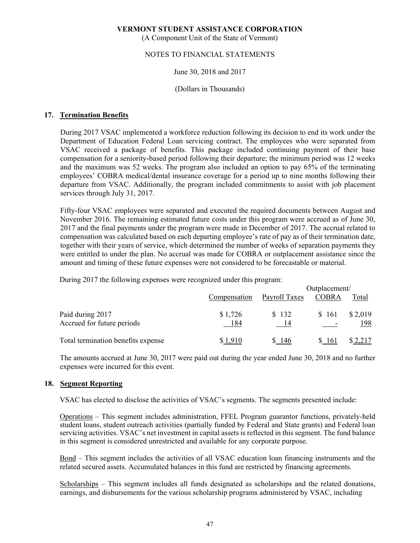(A Component Unit of the State of Vermont)

#### NOTES TO FINANCIAL STATEMENTS

#### June 30, 2018 and 2017

#### (Dollars in Thousands)

#### **17. Termination Benefits**

 During 2017 VSAC implemented a workforce reduction following its decision to end its work under the Department of Education Federal Loan servicing contract. The employees who were separated from VSAC received a package of benefits. This package included continuing payment of their base compensation for a seniority-based period following their departure; the minimum period was 12 weeks and the maximum was 52 weeks. The program also included an option to pay 65% of the terminating employees' COBRA medical/dental insurance coverage for a period up to nine months following their departure from VSAC. Additionally, the program included commitments to assist with job placement services through July 31, 2017.

Fifty-four VSAC employees were separated and executed the required documents between August and November 2016. The remaining estimated future costs under this program were accrued as of June 30, 2017 and the final payments under the program were made in December of 2017. The accrual related to compensation was calculated based on each departing employee's rate of pay as of their termination date, together with their years of service, which determined the number of weeks of separation payments they were entitled to under the plan. No accrual was made for COBRA or outplacement assistance since the amount and timing of these future expenses were not considered to be forecastable or material.

During 2017 the following expenses were recognized under this program:

|                                                |                |               | Outplacement/                     |                |  |  |  |  |  |
|------------------------------------------------|----------------|---------------|-----------------------------------|----------------|--|--|--|--|--|
|                                                | Compensation   | Payroll Taxes | <b>COBRA</b>                      | Total          |  |  |  |  |  |
| Paid during 2017<br>Accrued for future periods | \$1,726<br>184 | \$132<br>- 14 | \$161<br>$\overline{\phantom{0}}$ | \$2,019<br>198 |  |  |  |  |  |
| Total termination benefits expense             | \$1,910        | \$146         | 161                               |                |  |  |  |  |  |

 The amounts accrued at June 30, 2017 were paid out during the year ended June 30, 2018 and no further expenses were incurred for this event.

#### **18. Segment Reporting**

VSAC has elected to disclose the activities of VSAC's segments. The segments presented include:

Operations – This segment includes administration, FFEL Program guarantor functions, privately-held student loans, student outreach activities (partially funded by Federal and State grants) and Federal loan servicing activities. VSAC's net investment in capital assets is reflected in this segment. The fund balance in this segment is considered unrestricted and available for any corporate purpose.

Bond – This segment includes the activities of all VSAC education loan financing instruments and the related secured assets. Accumulated balances in this fund are restricted by financing agreements.

Scholarships – This segment includes all funds designated as scholarships and the related donations, earnings, and disbursements for the various scholarship programs administered by VSAC, including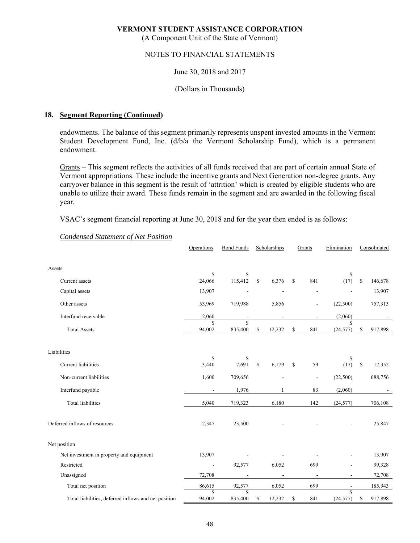(A Component Unit of the State of Vermont)

#### NOTES TO FINANCIAL STATEMENTS

#### June 30, 2018 and 2017

#### (Dollars in Thousands)

#### **18. Segment Reporting (Continued)**

endowments. The balance of this segment primarily represents unspent invested amounts in the Vermont Student Development Fund, Inc. (d/b/a the Vermont Scholarship Fund), which is a permanent endowment.

Grants – This segment reflects the activities of all funds received that are part of certain annual State of Vermont appropriations. These include the incentive grants and Next Generation non-degree grants. Any carryover balance in this segment is the result of 'attrition' which is created by eligible students who are unable to utilize their award. These funds remain in the segment and are awarded in the following fiscal year.

VSAC's segment financial reporting at June 30, 2018 and for the year then ended is as follows:

|                                                      | Operations                   | <b>Bond Funds</b>                  |              | Scholarships | Grants       |                          | Elimination              |              | Consolidated |
|------------------------------------------------------|------------------------------|------------------------------------|--------------|--------------|--------------|--------------------------|--------------------------|--------------|--------------|
|                                                      |                              |                                    |              |              |              |                          |                          |              |              |
| Assets                                               |                              |                                    |              |              |              |                          |                          |              |              |
| Current assets                                       | \$<br>24,066                 | \$<br>115,412                      | $\mathbb{S}$ | 6,376        | $\mathbb{S}$ | 841                      | \$<br>(17)               | \$           | 146,678      |
| Capital assets                                       | 13,907                       |                                    |              |              |              | ÷,                       |                          |              | 13,907       |
| Other assets                                         | 53,969                       | 719,988                            |              | 5,856        |              | $\overline{\phantom{a}}$ | (22,500)                 |              | 757,313      |
| Interfund receivable                                 | 2,060                        |                                    |              |              |              | ÷                        | (2,060)                  |              |              |
| <b>Total Assets</b>                                  | $\mathbf S$<br>94,002        | $\overline{\mathbb{S}}$<br>835,400 | \$           | 12,232       | \$           | 841                      | \$<br>(24, 577)          | \$           | 917,898      |
|                                                      |                              |                                    |              |              |              |                          |                          |              |              |
| Liabilities                                          | \$                           | \$                                 |              |              |              |                          | \$                       |              |              |
| Current liabilities                                  | 3,440                        | 7,691                              | \$           | 6,179        | \$           | 59                       | (17)                     | $\mathbb{S}$ | 17,352       |
| Non-current liabilities                              | 1,600                        | 709,656                            |              |              |              | $\overline{\phantom{a}}$ | (22,500)                 |              | 688,756      |
| Interfund payable                                    |                              | 1,976                              |              |              |              | 83                       | (2,060)                  |              |              |
| <b>Total liabilities</b>                             | 5,040                        | 719,323                            |              | 6,180        |              | 142                      | (24, 577)                |              | 706,108      |
|                                                      |                              |                                    |              |              |              |                          |                          |              |              |
| Deferred inflows of resources                        | 2,347                        | 23,500                             |              |              |              |                          |                          |              | 25,847       |
| Net position                                         |                              |                                    |              |              |              |                          |                          |              |              |
| Net investment in property and equipment             | 13,907                       |                                    |              |              |              |                          |                          |              | 13,907       |
| Restricted                                           | $\overline{\phantom{a}}$     | 92,577                             |              | 6,052        |              | 699                      | ÷                        |              | 99,328       |
| Unassigned                                           | 72,708                       |                                    |              |              |              | $\overline{\phantom{a}}$ | $\overline{\phantom{a}}$ |              | 72,708       |
| Total net position                                   | 86,615                       | 92,577                             |              | 6,052        |              | 699                      |                          |              | 185,943      |
| Total liabilities, deferred inflows and net position | $\mathbf{\hat{S}}$<br>94,002 | \$<br>835,400                      | \$           | 12,232       | \$           | 841                      | S<br>(24, 577)           | \$           | 917,898      |

#### *Condensed Statement of Net Position*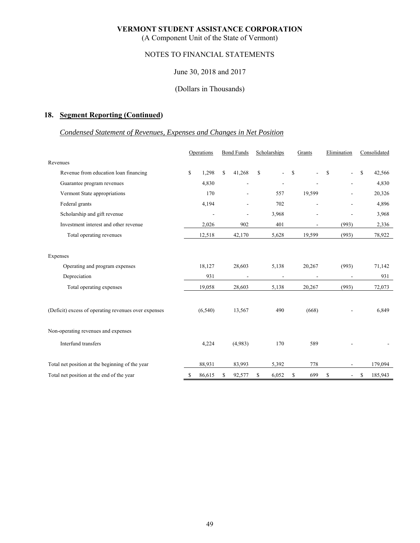(A Component Unit of the State of Vermont)

# NOTES TO FINANCIAL STATEMENTS

#### June 30, 2018 and 2017

#### (Dollars in Thousands)

# **18. Segment Reporting (Continued)**

# *Condensed Statement of Revenues, Expenses and Changes in Net Position*

|                                                      | Operations   | <b>Bond Funds</b> |    | Scholarships             |    | Grants         | Elimination                    |    | Consolidated |
|------------------------------------------------------|--------------|-------------------|----|--------------------------|----|----------------|--------------------------------|----|--------------|
| Revenues                                             |              |                   |    |                          |    |                |                                |    |              |
| Revenue from education loan financing                | \$<br>1,298  | \$<br>41,268      | \$ | $\overline{\phantom{0}}$ | \$ | $\sim$         | \$<br>۰.                       | \$ | 42,566       |
| Guarantee program revenues                           | 4,830        |                   |    |                          |    |                |                                |    | 4,830        |
| Vermont State appropriations                         | 170          |                   |    | 557                      |    | 19,599         |                                |    | 20,326       |
| Federal grants                                       | 4,194        |                   |    | 702                      |    | $\blacksquare$ | $\overline{a}$                 |    | 4,896        |
| Scholarship and gift revenue                         |              |                   |    | 3,968                    |    |                |                                |    | 3,968        |
| Investment interest and other revenue                | 2,026        | 902               |    | 401                      |    | $\overline{a}$ | (993)                          |    | 2,336        |
| Total operating revenues                             | 12,518       | 42,170            |    | 5,628                    |    | 19,599         | (993)                          |    | 78,922       |
|                                                      |              |                   |    |                          |    |                |                                |    |              |
| Expenses                                             |              |                   |    |                          |    |                |                                |    |              |
| Operating and program expenses                       | 18,127       | 28,603            |    | 5,138                    |    | 20,267         | (993)                          |    | 71,142       |
| Depreciation                                         | 931          |                   |    | $\overline{\phantom{a}}$ |    |                |                                |    | 931          |
| Total operating expenses                             | 19,058       | 28,603            |    | 5,138                    |    | 20,267         | (993)                          |    | 72,073       |
|                                                      |              |                   |    |                          |    |                |                                |    |              |
| (Deficit) excess of operating revenues over expenses | (6, 540)     | 13,567            |    | 490                      |    | (668)          |                                |    | 6,849        |
|                                                      |              |                   |    |                          |    |                |                                |    |              |
| Non-operating revenues and expenses                  |              |                   |    |                          |    |                |                                |    |              |
| Interfund transfers                                  | 4,224        | (4,983)           |    | 170                      |    | 589            |                                |    |              |
|                                                      |              |                   |    |                          |    |                |                                |    |              |
| Total net position at the beginning of the year      | 88,931       | 83,993            |    | 5,392                    |    | 778            |                                |    | 179,094      |
| Total net position at the end of the year            | \$<br>86,615 | \$<br>92,577      | S  | 6,052                    | S  | 699            | \$<br>$\overline{\phantom{a}}$ | S  | 185,943      |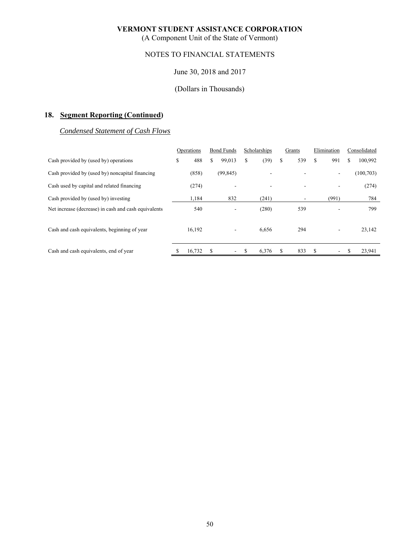(A Component Unit of the State of Vermont)

# NOTES TO FINANCIAL STATEMENTS

## June 30, 2018 and 2017

# (Dollars in Thousands)

# **18. Segment Reporting (Continued)**

# *Condensed Statement of Cash Flows*

|                                                      | Operations | <b>Bond Funds</b> |    | Scholarships |    | Grants |    | Elimination    | Consolidated |            |
|------------------------------------------------------|------------|-------------------|----|--------------|----|--------|----|----------------|--------------|------------|
| Cash provided by (used by) operations                | \$<br>488  | \$<br>99,013      | \$ | (39)         | \$ | 539    | \$ | 991            | \$           | 100,992    |
| Cash provided by (used by) noncapital financing      | (858)      | (99, 845)         |    |              |    |        |    | $\blacksquare$ |              | (100, 703) |
| Cash used by capital and related financing           | (274)      | ۰                 |    |              |    |        |    | ۰              |              | (274)      |
| Cash provided by (used by) investing                 | 1,184      | 832               |    | (241)        |    |        |    | (991)          |              | 784        |
| Net increase (decrease) in cash and cash equivalents | 540        | -                 |    | (280)        |    | 539    |    |                |              | 799        |
| Cash and cash equivalents, beginning of year         | 16,192     | ۰                 |    | 6,656        |    | 294    |    | ۰              |              | 23,142     |
| Cash and cash equivalents, end of year               | 16,732     | ۰.                | S  | 6,376        | S  | 833    | S  | ٠.             |              | 23,941     |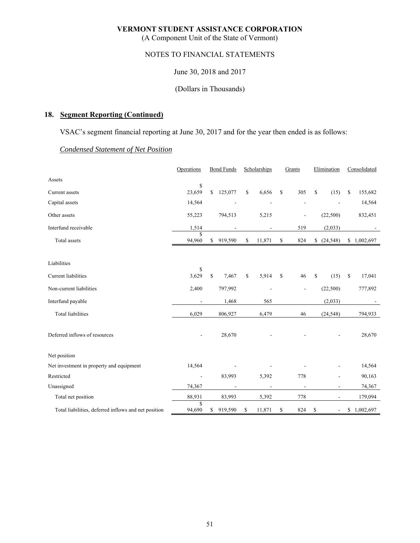(A Component Unit of the State of Vermont)

# NOTES TO FINANCIAL STATEMENTS

June 30, 2018 and 2017

(Dollars in Thousands)

# **18. Segment Reporting (Continued)**

VSAC's segment financial reporting at June 30, 2017 and for the year then ended is as follows:

# *Condensed Statement of Net Position*

|                                                      | Operations     | <b>Bond Funds</b> |                | Scholarships |                | Grants      |                          | Elimination |                          | Consolidated    |
|------------------------------------------------------|----------------|-------------------|----------------|--------------|----------------|-------------|--------------------------|-------------|--------------------------|-----------------|
| Assets                                               |                |                   |                |              |                |             |                          |             |                          |                 |
| Current assets                                       | \$<br>23,659   | \$                | 125,077        | \$           | 6,656          | \$          | 305                      | \$          | (15)                     | \$<br>155,682   |
| Capital assets                                       | 14,564         |                   |                |              |                |             | ÷,                       |             |                          | 14,564          |
| Other assets                                         | 55,223         |                   | 794,513        |              | 5,215          |             |                          |             | (22,500)                 | 832,451         |
| Interfund receivable                                 | 1,514          |                   |                |              |                |             | 519                      |             | (2,033)                  |                 |
| <b>Total</b> assets                                  | \$<br>94,960   | \$                | 919,590        | \$           | 11,871         | \$          | 824                      | \$          | (24, 548)                | \$1,002,697     |
| Liabilities                                          |                |                   |                |              |                |             |                          |             |                          |                 |
| <b>Current</b> liabilities                           | \$<br>3,629    | $\mathbb{S}$      | 7,467          | \$           | 5,914          | $\mathbf S$ | 46                       | \$          | (15)                     | \$<br>17,041    |
| Non-current liabilities                              | 2,400          |                   | 797,992        |              |                |             | $\overline{a}$           |             | (22,500)                 | 777,892         |
| Interfund payable                                    | ٠              |                   | 1,468          |              | 565            |             |                          |             | (2,033)                  |                 |
| <b>Total liabilities</b>                             | 6,029          |                   | 806,927        |              | 6,479          |             | 46                       |             | (24, 548)                | 794,933         |
| Deferred inflows of resources                        |                |                   | 28,670         |              |                |             |                          |             |                          | 28,670          |
| Net position                                         |                |                   |                |              |                |             |                          |             |                          |                 |
| Net investment in property and equipment             | 14,564         |                   |                |              |                |             |                          |             |                          | 14,564          |
| Restricted                                           | $\blacksquare$ |                   | 83,993         |              | 5,392          |             | 778                      |             | $\overline{a}$           | 90,163          |
| Unassigned                                           | 74,367         |                   | $\overline{a}$ |              | $\overline{a}$ |             | $\overline{\phantom{a}}$ |             | $\overline{\phantom{a}}$ | 74,367          |
| Total net position                                   | 88,931         |                   | 83,993         |              | 5,392          |             | 778                      |             | $\overline{\phantom{a}}$ | 179,094         |
| Total liabilities, deferred inflows and net position | \$<br>94,690   | \$                | 919,590        | \$           | 11,871         | \$          | 824                      | \$          | $\overline{\phantom{a}}$ | \$<br>1,002,697 |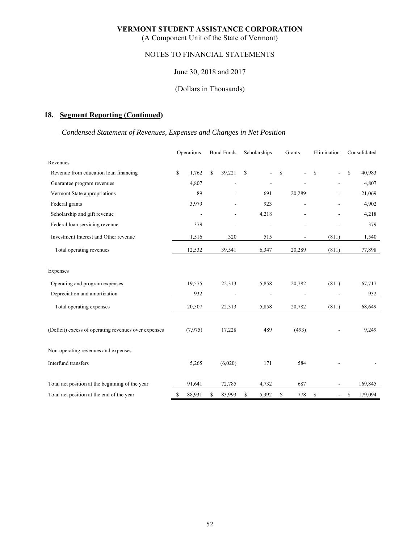(A Component Unit of the State of Vermont)

# NOTES TO FINANCIAL STATEMENTS

#### June 30, 2018 and 2017

#### (Dollars in Thousands)

# **18. Segment Reporting (Continued)**

### *Condensed Statement of Revenues, Expenses and Changes in Net Position*

|                                                      | Operations   | <b>Bond Funds</b>        | Scholarships                 |    | Grants |    | Elimination   |    | Consolidated |  |
|------------------------------------------------------|--------------|--------------------------|------------------------------|----|--------|----|---------------|----|--------------|--|
| Revenues                                             |              |                          |                              |    |        |    |               |    |              |  |
| Revenue from education loan financing                | \$<br>1.762  | \$<br>39,221             | \$                           | \$ |        | \$ | $\frac{1}{2}$ | \$ | 40,983       |  |
| Guarantee program revenues                           | 4,807        | ٠                        |                              |    |        |    |               |    | 4,807        |  |
| Vermont State appropriations                         | 89           |                          | 691                          |    | 20,289 |    |               |    | 21,069       |  |
| Federal grants                                       | 3,979        | $\overline{a}$           | 923                          |    | $\sim$ |    | ۰             |    | 4,902        |  |
| Scholarship and gift revenue                         |              |                          | 4,218                        |    |        |    |               |    | 4,218        |  |
| Federal loan servicing revenue                       | 379          | $\overline{\phantom{0}}$ | $\qquad \qquad \blacksquare$ |    |        |    |               |    | 379          |  |
| Investment Interest and Other revenue                | 1,516        | 320                      | 515                          |    |        |    | (811)         |    | 1,540        |  |
| Total operating revenues                             | 12,532       | 39,541                   | 6,347                        |    | 20,289 |    | (811)         |    | 77,898       |  |
| Expenses                                             |              |                          |                              |    |        |    |               |    |              |  |
| Operating and program expenses                       | 19,575       | 22,313                   | 5,858                        |    | 20,782 |    | (811)         |    | 67,717       |  |
| Depreciation and amortization                        | 932          |                          | $\overline{a}$               |    |        |    |               |    | 932          |  |
| Total operating expenses                             | 20,507       | 22,313                   | 5,858                        |    | 20,782 |    | (811)         |    | 68,649       |  |
| (Deficit) excess of operating revenues over expenses | (7,975)      | 17,228                   | 489                          |    | (493)  |    |               |    | 9,249        |  |
| Non-operating revenues and expenses                  |              |                          |                              |    |        |    |               |    |              |  |
| Interfund transfers                                  | 5,265        | (6,020)                  | 171                          |    | 584    |    |               |    |              |  |
| Total net position at the beginning of the year      | 91,641       | 72,785                   | 4,732                        |    | 687    |    |               |    | 169,845      |  |
| Total net position at the end of the year            | \$<br>88,931 | \$<br>83,993             | \$<br>5,392                  | \$ | 778    | \$ |               | \$ | 179,094      |  |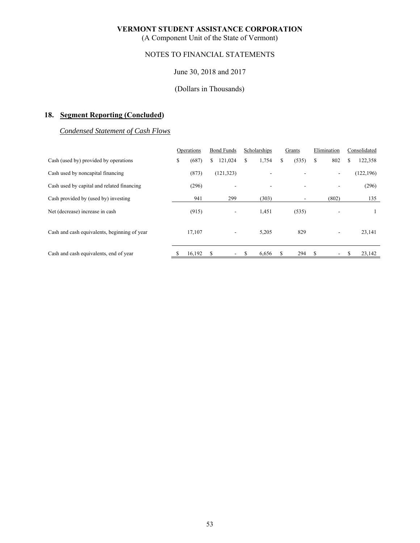(A Component Unit of the State of Vermont)

# NOTES TO FINANCIAL STATEMENTS

## June 30, 2018 and 2017

# (Dollars in Thousands)

# **18. Segment Reporting (Concluded)**

# *Condensed Statement of Cash Flows*

|                                              | Operations |        | <b>Bond Funds</b> |                          | Scholarships |       | Grants |       | Elimination |        | Consolidated |            |
|----------------------------------------------|------------|--------|-------------------|--------------------------|--------------|-------|--------|-------|-------------|--------|--------------|------------|
| Cash (used by) provided by operations        | \$         | (687)  | S.                | 121,024                  | \$           | 1,754 | \$     | (535) | \$          | 802    | S            | 122,358    |
| Cash used by noncapital financing            |            | (873)  |                   | (121, 323)               |              |       |        |       |             | $\sim$ |              | (122, 196) |
| Cash used by capital and related financing   |            | (296)  |                   | ٠                        |              |       |        |       |             |        |              | (296)      |
| Cash provided by (used by) investing         |            | 941    |                   | 299                      |              | (303) |        |       |             | (802)  |              | 135        |
| Net (decrease) increase in cash              |            | (915)  |                   | $\overline{\phantom{a}}$ |              | 1,451 |        | (535) |             |        |              |            |
| Cash and cash equivalents, beginning of year |            | 17,107 |                   | ۰.                       |              | 5,205 |        | 829   |             | $\sim$ |              | 23,141     |
| Cash and cash equivalents, end of year       |            | 16,192 | S                 | $\overline{\phantom{a}}$ | \$           | 6,656 | \$     | 294   | \$          | $\sim$ |              | 23,142     |